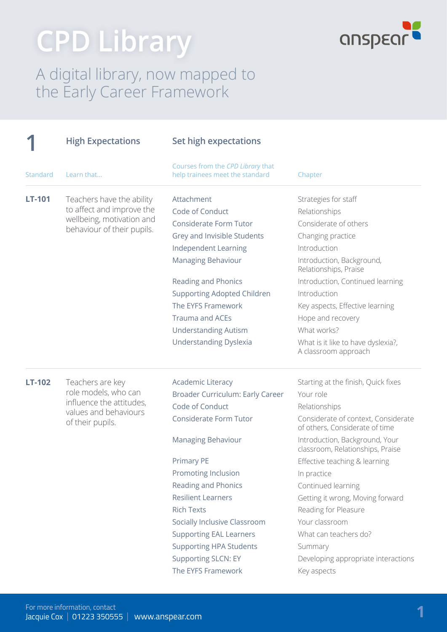# **CPD Library**



#### A digital library, now mapped to the Early Career Framework

|          | <b>High Expectations</b>                  | Set high expectations                                                |                                                                       |
|----------|-------------------------------------------|----------------------------------------------------------------------|-----------------------------------------------------------------------|
| Standard | Learn that                                | Courses from the CPD Library that<br>help trainees meet the standard | Chapter                                                               |
| LT-101   | Teachers have the ability                 | Attachment                                                           | Strategies for staff                                                  |
|          | to affect and improve the                 | Code of Conduct                                                      | Relationships                                                         |
|          | wellbeing, motivation and                 | Considerate Form Tutor                                               | Considerate of others                                                 |
|          | behaviour of their pupils.                | Grey and Invisible Students                                          | Changing practice                                                     |
|          |                                           | Independent Learning                                                 | Introduction                                                          |
|          |                                           | Managing Behaviour                                                   | Introduction, Background,<br>Relationships, Praise                    |
|          |                                           | <b>Reading and Phonics</b>                                           | Introduction, Continued learning                                      |
|          |                                           | <b>Supporting Adopted Children</b>                                   | Introduction                                                          |
|          |                                           | The EYFS Framework                                                   | Key aspects, Effective learning                                       |
|          |                                           | <b>Trauma and ACEs</b>                                               | Hope and recovery                                                     |
|          |                                           | <b>Understanding Autism</b>                                          | What works?                                                           |
|          |                                           | <b>Understanding Dyslexia</b>                                        | What is it like to have dyslexia?,<br>A classroom approach            |
| LT-102   | Teachers are key                          | <b>Academic Literacy</b>                                             | Starting at the finish, Quick fixes                                   |
|          | role models, who can                      | Broader Curriculum: Early Career                                     | Your role                                                             |
|          | influence the attitudes,                  | Code of Conduct                                                      | Relationships                                                         |
|          | values and behaviours<br>of their pupils. | Considerate Form Tutor                                               | Considerate of context, Considerate<br>of others, Considerate of time |
|          |                                           | <b>Managing Behaviour</b>                                            | Introduction, Background, Your<br>classroom, Relationships, Praise    |
|          |                                           | <b>Primary PE</b>                                                    | Effective teaching & learning                                         |
|          |                                           | Promoting Inclusion                                                  | In practice                                                           |
|          |                                           | Reading and Phonics                                                  | Continued learning                                                    |
|          |                                           | <b>Resilient Learners</b>                                            | Getting it wrong, Moving forward                                      |
|          |                                           | <b>Rich Texts</b>                                                    | Reading for Pleasure                                                  |
|          |                                           | Socially Inclusive Classroom                                         | Your classroom                                                        |
|          |                                           | <b>Supporting EAL Learners</b>                                       | What can teachers do?                                                 |
|          |                                           | <b>Supporting HPA Students</b>                                       | Summary                                                               |
|          |                                           | <b>Supporting SLCN: EY</b>                                           | Developing appropriate interactions                                   |
|          |                                           | The EYFS Framework                                                   | Key aspects                                                           |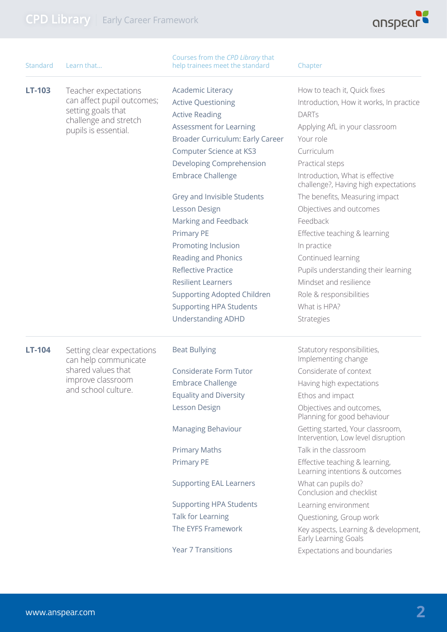

| <b>Standard</b> | Learn that                                         | Courses from the CPD Library that<br>help trainees meet the standard | Chapter                                                                 |
|-----------------|----------------------------------------------------|----------------------------------------------------------------------|-------------------------------------------------------------------------|
| LT-103          | Teacher expectations<br>can affect pupil outcomes; | <b>Academic Literacy</b>                                             | How to teach it, Quick fixes                                            |
|                 |                                                    | <b>Active Questioning</b>                                            | Introduction, How it works, In practice                                 |
|                 | setting goals that<br>challenge and stretch        | <b>Active Reading</b>                                                | <b>DARTs</b>                                                            |
|                 | pupils is essential.                               | <b>Assessment for Learning</b>                                       | Applying AfL in your classroom                                          |
|                 |                                                    | Broader Curriculum: Early Career                                     | Your role                                                               |
|                 |                                                    | <b>Computer Science at KS3</b>                                       | Curriculum                                                              |
|                 |                                                    | Developing Comprehension                                             | Practical steps                                                         |
|                 |                                                    | <b>Embrace Challenge</b>                                             | Introduction, What is effective<br>challenge?, Having high expectations |
|                 |                                                    | Grey and Invisible Students                                          | The benefits, Measuring impact                                          |
|                 |                                                    | Lesson Design                                                        | Objectives and outcomes                                                 |
|                 |                                                    | Marking and Feedback                                                 | Feedback                                                                |
|                 |                                                    | <b>Primary PE</b>                                                    | Effective teaching & learning                                           |
|                 |                                                    | Promoting Inclusion                                                  | In practice                                                             |
|                 |                                                    | <b>Reading and Phonics</b>                                           | Continued learning                                                      |
|                 |                                                    | <b>Reflective Practice</b>                                           | Pupils understanding their learning                                     |
|                 |                                                    | <b>Resilient Learners</b>                                            | Mindset and resilience                                                  |
|                 |                                                    | <b>Supporting Adopted Children</b>                                   | Role & responsibilities                                                 |
|                 |                                                    | <b>Supporting HPA Students</b>                                       | What is HPA?                                                            |
|                 |                                                    | <b>Understanding ADHD</b>                                            | Strategies                                                              |
| LT-104          | Setting clear expectations<br>can help communicate | <b>Beat Bullying</b>                                                 | Statutory responsibilities,<br>Implementing change                      |
|                 | shared values that                                 | <b>Considerate Form Tutor</b>                                        | Considerate of context                                                  |
|                 | improve classroom                                  | <b>Embrace Challenge</b>                                             | Having high expectations                                                |
|                 | and school culture.                                | <b>Equality and Diversity</b>                                        | Ethos and impact                                                        |
|                 |                                                    | Lesson Design                                                        | Objectives and outcomes,<br>Planning for good behaviour                 |
|                 |                                                    | Managing Behaviour                                                   | Getting started, Your classroom,<br>Intervention, Low level disruption  |
|                 |                                                    | <b>Primary Maths</b>                                                 | Talk in the classroom                                                   |
|                 |                                                    | <b>Primary PE</b>                                                    | Effective teaching & learning,<br>Learning intentions & outcomes        |
|                 |                                                    | <b>Supporting EAL Learners</b>                                       | What can pupils do?<br>Conclusion and checklist                         |
|                 |                                                    | <b>Supporting HPA Students</b>                                       | Learning environment                                                    |
|                 |                                                    | Talk for Learning                                                    | Questioning, Group work                                                 |
|                 |                                                    | The EYFS Framework                                                   | Key aspects, Learning & development,<br>Early Learning Goals            |
|                 |                                                    | <b>Year 7 Transitions</b>                                            | Expectations and boundaries                                             |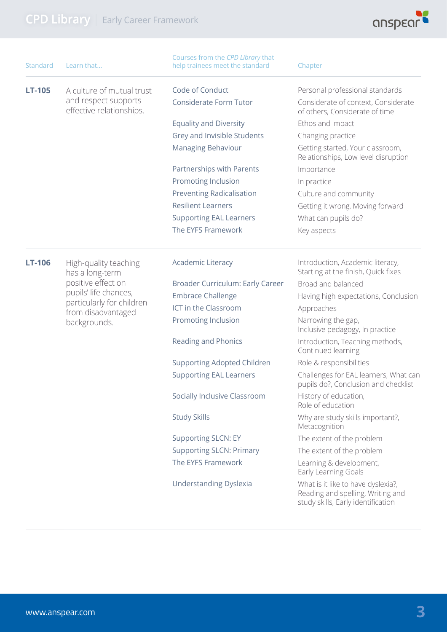

| Standard      | Learn that                                                                    | Courses from the CPD Library that<br>help trainees meet the standard | Chapter                                                                                                       |
|---------------|-------------------------------------------------------------------------------|----------------------------------------------------------------------|---------------------------------------------------------------------------------------------------------------|
| <b>LT-105</b> | A culture of mutual trust<br>and respect supports<br>effective relationships. | Code of Conduct                                                      | Personal professional standards                                                                               |
|               |                                                                               | <b>Considerate Form Tutor</b>                                        | Considerate of context, Considerate<br>of others, Considerate of time                                         |
|               |                                                                               | <b>Equality and Diversity</b>                                        | Ethos and impact                                                                                              |
|               |                                                                               | Grey and Invisible Students                                          | Changing practice                                                                                             |
|               |                                                                               | Managing Behaviour                                                   | Getting started, Your classroom,<br>Relationships, Low level disruption                                       |
|               |                                                                               | Partnerships with Parents                                            | Importance                                                                                                    |
|               |                                                                               | Promoting Inclusion                                                  | In practice                                                                                                   |
|               |                                                                               | <b>Preventing Radicalisation</b>                                     | Culture and community                                                                                         |
|               |                                                                               | <b>Resilient Learners</b>                                            | Getting it wrong, Moving forward                                                                              |
|               |                                                                               | <b>Supporting EAL Learners</b>                                       | What can pupils do?                                                                                           |
|               |                                                                               | The EYFS Framework                                                   | Key aspects                                                                                                   |
| <b>LT-106</b> | High-quality teaching<br>has a long-term                                      | <b>Academic Literacy</b>                                             | Introduction, Academic literacy,<br>Starting at the finish, Quick fixes                                       |
|               | positive effect on                                                            | Broader Curriculum: Early Career                                     | Broad and balanced                                                                                            |
|               | pupils' life chances,                                                         | <b>Embrace Challenge</b>                                             | Having high expectations, Conclusion                                                                          |
|               | particularly for children<br>from disadvantaged                               | ICT in the Classroom                                                 | Approaches                                                                                                    |
|               | backgrounds.                                                                  | Promoting Inclusion                                                  | Narrowing the gap,<br>Inclusive pedagogy, In practice                                                         |
|               |                                                                               | Reading and Phonics                                                  | Introduction, Teaching methods,<br>Continued learning                                                         |
|               |                                                                               | <b>Supporting Adopted Children</b>                                   | Role & responsibilities                                                                                       |
|               |                                                                               | <b>Supporting EAL Learners</b>                                       | Challenges for EAL learners, What can<br>pupils do?, Conclusion and checklist                                 |
|               |                                                                               | Socially Inclusive Classroom                                         | History of education,<br>Role of education                                                                    |
|               |                                                                               | <b>Study Skills</b>                                                  | Why are study skills important?,<br>Metacognition                                                             |
|               |                                                                               | <b>Supporting SLCN: EY</b>                                           | The extent of the problem                                                                                     |
|               |                                                                               | <b>Supporting SLCN: Primary</b>                                      | The extent of the problem                                                                                     |
|               |                                                                               | The EYFS Framework                                                   | Learning & development,<br>Early Learning Goals                                                               |
|               |                                                                               | <b>Understanding Dyslexia</b>                                        | What is it like to have dyslexia?,<br>Reading and spelling, Writing and<br>study skills, Early identification |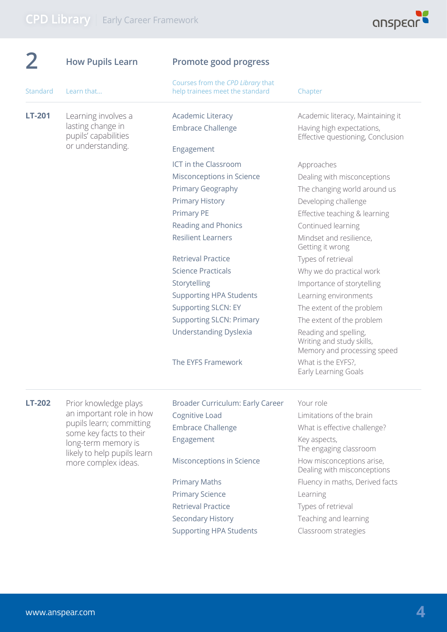

|               | <b>How Pupils Learn</b>                                          | Promote good progress                                                |                                                                                                     |
|---------------|------------------------------------------------------------------|----------------------------------------------------------------------|-----------------------------------------------------------------------------------------------------|
| Standard      | Learn that                                                       | Courses from the CPD Library that<br>help trainees meet the standard | Chapter                                                                                             |
| <b>LT-201</b> | Learning involves a<br>lasting change in<br>pupils' capabilities | <b>Academic Literacy</b><br><b>Embrace Challenge</b>                 | Academic literacy, Maintaining it<br>Having high expectations,<br>Effective questioning, Conclusion |
|               | or understanding.                                                | Engagement                                                           |                                                                                                     |
|               |                                                                  | ICT in the Classroom                                                 | Approaches                                                                                          |
|               |                                                                  | Misconceptions in Science                                            | Dealing with misconceptions                                                                         |
|               |                                                                  | <b>Primary Geography</b>                                             | The changing world around us                                                                        |
|               |                                                                  | <b>Primary History</b>                                               | Developing challenge                                                                                |
|               |                                                                  | Primary PE                                                           | Effective teaching & learning                                                                       |
|               |                                                                  | Reading and Phonics                                                  | Continued learning                                                                                  |
|               |                                                                  | <b>Resilient Learners</b>                                            | Mindset and resilience,<br>Getting it wrong                                                         |
|               |                                                                  | <b>Retrieval Practice</b>                                            | Types of retrieval                                                                                  |
|               |                                                                  | <b>Science Practicals</b>                                            | Why we do practical work                                                                            |
|               |                                                                  | Storytelling                                                         | Importance of storytelling                                                                          |
|               |                                                                  | <b>Supporting HPA Students</b>                                       | Learning environments                                                                               |
|               |                                                                  | <b>Supporting SLCN: EY</b>                                           | The extent of the problem                                                                           |
|               |                                                                  | <b>Supporting SLCN: Primary</b>                                      | The extent of the problem                                                                           |
|               |                                                                  | <b>Understanding Dyslexia</b>                                        | Reading and spelling,<br>Writing and study skills,<br>Memory and processing speed                   |
|               |                                                                  | The EYFS Framework                                                   | What is the EYFS?,<br>Early Learning Goals                                                          |
| <b>LT-202</b> | Prior knowledge plays                                            | Broader Curriculum: Early Career                                     | Your role                                                                                           |
|               | an important role in how                                         | Cognitive Load                                                       | Limitations of the brain                                                                            |
|               | pupils learn; committing<br>some key facts to their              | <b>Embrace Challenge</b>                                             | What is effective challenge?                                                                        |
|               | long-term memory is<br>likely to help pupils learn               | Engagement                                                           | Key aspects,<br>The engaging classroom                                                              |
|               | more complex ideas.                                              | Misconceptions in Science                                            | How misconceptions arise,<br>Dealing with misconceptions                                            |
|               |                                                                  | <b>Primary Maths</b>                                                 | Fluency in maths, Derived facts                                                                     |
|               |                                                                  | <b>Primary Science</b>                                               | Learning                                                                                            |
|               |                                                                  | <b>Retrieval Practice</b>                                            | Types of retrieval                                                                                  |
|               |                                                                  | Secondary History                                                    | Teaching and learning                                                                               |
|               |                                                                  | <b>Supporting HPA Students</b>                                       | Classroom strategies                                                                                |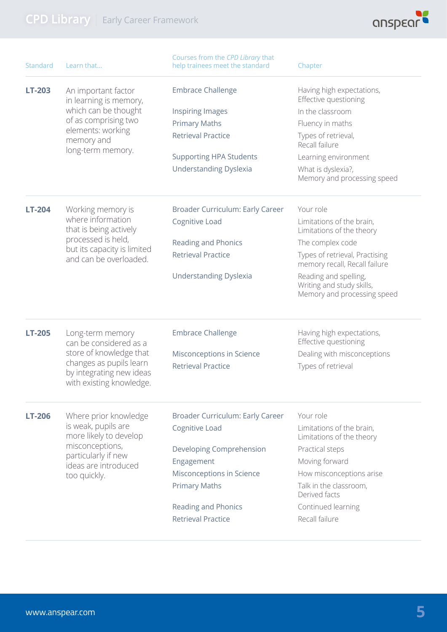

| <b>Standard</b> | Learn that                                                                                                 | Courses from the CPD Library that<br>help trainees meet the standard | Chapter                                                                           |
|-----------------|------------------------------------------------------------------------------------------------------------|----------------------------------------------------------------------|-----------------------------------------------------------------------------------|
| <b>LT-203</b>   | An important factor<br>in learning is memory,                                                              | <b>Embrace Challenge</b>                                             | Having high expectations,<br>Effective questioning                                |
|                 | which can be thought                                                                                       | <b>Inspiring Images</b>                                              | In the classroom                                                                  |
|                 | of as comprising two                                                                                       | <b>Primary Maths</b>                                                 | Fluency in maths                                                                  |
|                 | elements: working<br>memory and<br>long-term memory.                                                       | <b>Retrieval Practice</b>                                            | Types of retrieval,<br>Recall failure                                             |
|                 |                                                                                                            | <b>Supporting HPA Students</b>                                       | Learning environment                                                              |
|                 |                                                                                                            | <b>Understanding Dyslexia</b>                                        | What is dyslexia?,<br>Memory and processing speed                                 |
| LT-204          | Working memory is                                                                                          | Broader Curriculum: Early Career                                     | Your role                                                                         |
|                 | where information<br>that is being actively                                                                | Cognitive Load                                                       | Limitations of the brain,<br>Limitations of the theory                            |
|                 | processed is held,                                                                                         | Reading and Phonics                                                  | The complex code                                                                  |
|                 | but its capacity is limited<br>and can be overloaded.                                                      | <b>Retrieval Practice</b>                                            | Types of retrieval, Practising<br>memory recall, Recall failure                   |
|                 |                                                                                                            | <b>Understanding Dyslexia</b>                                        | Reading and spelling,<br>Writing and study skills,<br>Memory and processing speed |
| <b>LT-205</b>   | Long-term memory<br>can be considered as a                                                                 | <b>Embrace Challenge</b>                                             | Having high expectations,<br>Effective questioning                                |
|                 | store of knowledge that<br>changes as pupils learn<br>by integrating new ideas<br>with existing knowledge. | Misconceptions in Science<br><b>Retrieval Practice</b>               | Dealing with misconceptions<br>Types of retrieval                                 |
| <b>LT-206</b>   | Where prior knowledge                                                                                      | Broader Curriculum: Early Career                                     | Your role                                                                         |
|                 | is weak, pupils are<br>more likely to develop                                                              | Cognitive Load                                                       | Limitations of the brain,<br>Limitations of the theory                            |
|                 | misconceptions,<br>particularly if new                                                                     | Developing Comprehension                                             | Practical steps                                                                   |
|                 | ideas are introduced                                                                                       | Engagement                                                           | Moving forward                                                                    |
|                 | too quickly.                                                                                               | Misconceptions in Science                                            | How misconceptions arise                                                          |
|                 |                                                                                                            | <b>Primary Maths</b>                                                 | Talk in the classroom,<br>Derived facts                                           |
|                 |                                                                                                            | Reading and Phonics                                                  | Continued learning                                                                |
|                 |                                                                                                            | <b>Retrieval Practice</b>                                            | Recall failure                                                                    |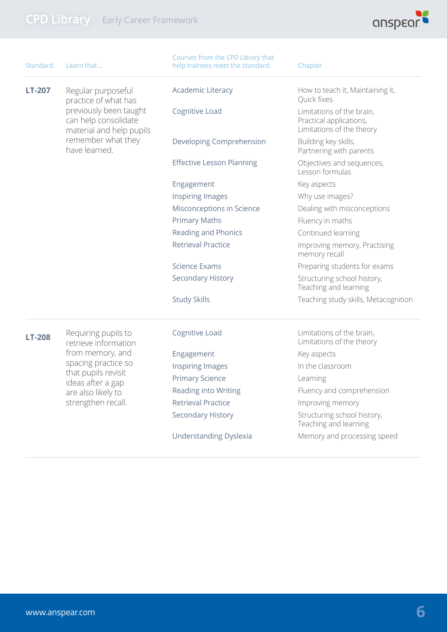

| <b>Standard</b> | Learn that                                                                 | Courses from the CPD Library that<br>help trainees meet the standard | Chapter                                                                           |
|-----------------|----------------------------------------------------------------------------|----------------------------------------------------------------------|-----------------------------------------------------------------------------------|
| <b>LT-207</b>   | Regular purposeful<br>practice of what has                                 | <b>Academic Literacy</b>                                             | How to teach it, Maintaining it,<br>Quick fixes                                   |
|                 | previously been taught<br>can help consolidate<br>material and help pupils | Cognitive Load                                                       | Limitations of the brain,<br>Practical applications,<br>Limitations of the theory |
|                 | remember what they<br>have learned.                                        | Developing Comprehension                                             | Building key skills,<br>Partnering with parents                                   |
|                 |                                                                            | <b>Effective Lesson Planning</b>                                     | Objectives and sequences,<br>Lesson formulas                                      |
|                 |                                                                            | Engagement                                                           | Key aspects                                                                       |
|                 |                                                                            | <b>Inspiring Images</b>                                              | Why use images?                                                                   |
|                 |                                                                            | Misconceptions in Science                                            | Dealing with misconceptions                                                       |
|                 |                                                                            | <b>Primary Maths</b>                                                 | Fluency in maths                                                                  |
|                 |                                                                            | Reading and Phonics                                                  | Continued learning                                                                |
|                 |                                                                            | <b>Retrieval Practice</b>                                            | Improving memory, Practising<br>memory recall                                     |
|                 |                                                                            | Science Exams                                                        | Preparing students for exams                                                      |
|                 |                                                                            | <b>Secondary History</b>                                             | Structuring school history,<br>Teaching and learning                              |
|                 |                                                                            | <b>Study Skills</b>                                                  | Teaching study skills, Metacognition                                              |
| <b>LT-208</b>   | Requiring pupils to<br>retrieve information                                | Cognitive Load                                                       | Limitations of the brain,<br>Limitations of the theory                            |
|                 | from memory, and                                                           | Engagement                                                           | Key aspects                                                                       |
|                 | spacing practice so                                                        | Inspiring Images                                                     | In the classroom                                                                  |
|                 | that pupils revisit<br>ideas after a gap                                   | <b>Primary Science</b>                                               | Learning                                                                          |
|                 | are also likely to                                                         | Reading into Writing                                                 | Fluency and comprehension                                                         |
|                 | strengthen recall.                                                         | <b>Retrieval Practice</b>                                            | Improving memory                                                                  |
|                 |                                                                            | <b>Secondary History</b>                                             | Structuring school history,<br>Teaching and learning                              |
|                 |                                                                            | <b>Understanding Dyslexia</b>                                        | Memory and processing speed                                                       |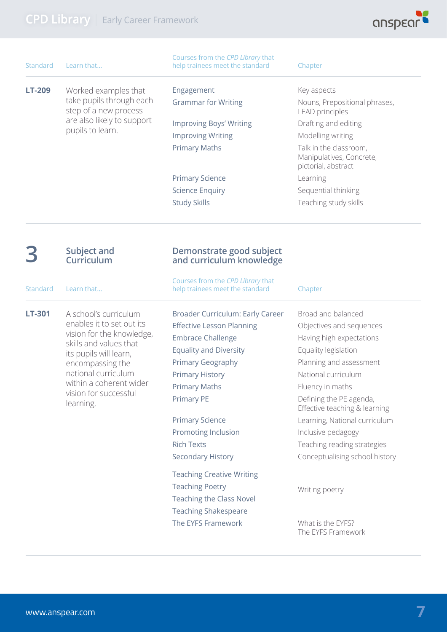

| Standard      | Learn that                                                                                                                  | Courses from the CPD Library that<br>help trainees meet the standard | Chapter                                                                   |
|---------------|-----------------------------------------------------------------------------------------------------------------------------|----------------------------------------------------------------------|---------------------------------------------------------------------------|
| <b>LT-209</b> | Worked examples that<br>take pupils through each<br>step of a new process<br>are also likely to support<br>pupils to learn. | Engagement                                                           | Key aspects                                                               |
|               |                                                                                                                             | <b>Grammar for Writing</b>                                           | Nouns, Prepositional phrases,<br><b>LEAD</b> principles                   |
|               |                                                                                                                             | <b>Improving Boys' Writing</b>                                       | Drafting and editing                                                      |
|               |                                                                                                                             | <b>Improving Writing</b>                                             | Modelling writing                                                         |
|               |                                                                                                                             | <b>Primary Maths</b>                                                 | Talk in the classroom,<br>Manipulatives, Concrete,<br>pictorial, abstract |
|               |                                                                                                                             | <b>Primary Science</b>                                               | Learning                                                                  |
|               |                                                                                                                             | <b>Science Enquiry</b>                                               | Sequential thinking                                                       |
|               |                                                                                                                             | <b>Study Skills</b>                                                  | Teaching study skills                                                     |
|               |                                                                                                                             |                                                                      |                                                                           |

#### **3 Subject and Curriculum**

Standard Learn that...

**LT-301** A school's curriculum enables it to set out its vision for the knowledge, skills and values that its pupils will learn, encompassing the national curriculum within a coherent wider vision for successful learning.

#### **Demonstrate good subject and curriculum knowledge**

Courses from the *CPD Library* that help trainees meet the standard Chapter

Broader Curriculum: Early Career Effective Lesson Planning Embrace Challenge Equality and Diversity Primary Geography Primary History Primary Maths Primary PE

Primary Science Promoting Inclusion Rich Texts Secondary History

Teaching Creative Writing Teaching Poetry Teaching the Class Novel Teaching Shakespeare The EYFS Framework

Broad and balanced Objectives and sequences Having high expectations Equality legislation Planning and assessment National curriculum Fluency in maths Defining the PE agenda, Effective teaching & learning Learning, National curriculum Inclusive pedagogy Teaching reading strategies Conceptualising school history

Writing poetry

What is the EYFS? The EYFS Framework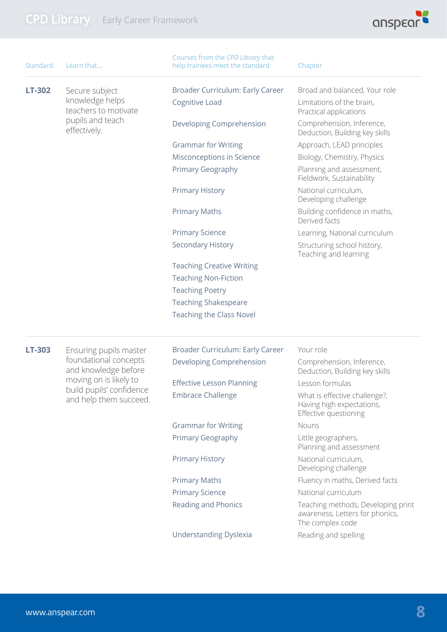

| <b>Standard</b> | Learn that                                                                                                                    | Courses from the CPD Library that<br>help trainees meet the standard | Chapter                                                                                   |
|-----------------|-------------------------------------------------------------------------------------------------------------------------------|----------------------------------------------------------------------|-------------------------------------------------------------------------------------------|
| LT-302          | Secure subject                                                                                                                | Broader Curriculum: Early Career                                     | Broad and balanced, Your role                                                             |
|                 | knowledge helps<br>teachers to motivate                                                                                       | Cognitive Load                                                       | Limitations of the brain,<br>Practical applications                                       |
|                 | pupils and teach<br>effectively.                                                                                              | Developing Comprehension                                             | Comprehension, Inference,<br>Deduction, Building key skills                               |
|                 |                                                                                                                               | <b>Grammar for Writing</b>                                           | Approach, LEAD principles                                                                 |
|                 |                                                                                                                               | Misconceptions in Science                                            | Biology, Chemistry, Physics                                                               |
|                 |                                                                                                                               | Primary Geography                                                    | Planning and assessment,<br>Fieldwork, Sustainability                                     |
|                 |                                                                                                                               | <b>Primary History</b>                                               | National curriculum,<br>Developing challenge                                              |
|                 |                                                                                                                               | <b>Primary Maths</b>                                                 | Building confidence in maths,<br>Derived facts                                            |
|                 |                                                                                                                               | <b>Primary Science</b>                                               | Learning, National curriculum                                                             |
|                 |                                                                                                                               | <b>Secondary History</b>                                             | Structuring school history,<br>Teaching and learning                                      |
|                 |                                                                                                                               | <b>Teaching Creative Writing</b>                                     |                                                                                           |
|                 |                                                                                                                               | <b>Teaching Non-Fiction</b>                                          |                                                                                           |
|                 |                                                                                                                               | <b>Teaching Poetry</b>                                               |                                                                                           |
|                 |                                                                                                                               | <b>Teaching Shakespeare</b>                                          |                                                                                           |
|                 |                                                                                                                               | <b>Teaching the Class Novel</b>                                      |                                                                                           |
| LT-303          | Ensuring pupils master                                                                                                        | Broader Curriculum: Early Career                                     | Your role                                                                                 |
|                 | foundational concepts<br>and knowledge before<br>moving on is likely to<br>build pupils' confidence<br>and help them succeed. | Developing Comprehension                                             | Comprehension, Inference,<br>Deduction, Building key skills                               |
|                 |                                                                                                                               | <b>Effective Lesson Planning</b>                                     | Lesson formulas                                                                           |
|                 |                                                                                                                               | <b>Embrace Challenge</b>                                             | What is effective challenge?,<br>Having high expectations,<br>Effective questioning       |
|                 |                                                                                                                               | <b>Grammar for Writing</b>                                           | Nouns                                                                                     |
|                 |                                                                                                                               | Primary Geography                                                    | Little geographers,<br>Planning and assessment                                            |
|                 |                                                                                                                               | <b>Primary History</b>                                               | National curriculum,<br>Developing challenge                                              |
|                 |                                                                                                                               | <b>Primary Maths</b>                                                 | Fluency in maths, Derived facts                                                           |
|                 |                                                                                                                               | <b>Primary Science</b>                                               | National curriculum                                                                       |
|                 |                                                                                                                               | Reading and Phonics                                                  | Teaching methods, Developing print<br>awareness, Letters for phonics,<br>The complex code |
|                 |                                                                                                                               | <b>Understanding Dyslexia</b>                                        | Reading and spelling                                                                      |
|                 |                                                                                                                               |                                                                      |                                                                                           |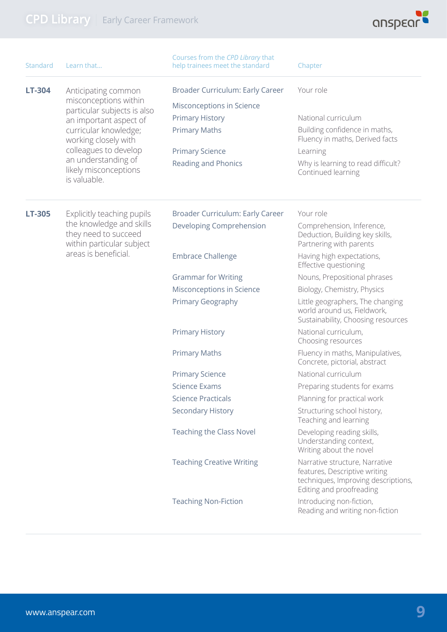

| Standard | Learn that                                                                                            | Courses from the CPD Library that<br>help trainees meet the standard | Chapter                                                                                                                            |
|----------|-------------------------------------------------------------------------------------------------------|----------------------------------------------------------------------|------------------------------------------------------------------------------------------------------------------------------------|
| LT-304   | Anticipating common<br>misconceptions within<br>particular subjects is also                           | Broader Curriculum: Early Career                                     | Your role                                                                                                                          |
|          |                                                                                                       | Misconceptions in Science                                            |                                                                                                                                    |
|          | an important aspect of                                                                                | <b>Primary History</b>                                               | National curriculum                                                                                                                |
|          | curricular knowledge;<br>working closely with                                                         | <b>Primary Maths</b>                                                 | Building confidence in maths,<br>Fluency in maths, Derived facts                                                                   |
|          | colleagues to develop                                                                                 | <b>Primary Science</b>                                               | Learning                                                                                                                           |
|          | an understanding of<br>likely misconceptions<br>is valuable.                                          | <b>Reading and Phonics</b>                                           | Why is learning to read difficult?<br>Continued learning                                                                           |
| LT-305   | Explicitly teaching pupils                                                                            | Broader Curriculum: Early Career                                     | Your role                                                                                                                          |
|          | the knowledge and skills<br>they need to succeed<br>within particular subject<br>areas is beneficial. | Developing Comprehension                                             | Comprehension, Inference,<br>Deduction, Building key skills,<br>Partnering with parents                                            |
|          |                                                                                                       | <b>Embrace Challenge</b>                                             | Having high expectations,<br>Effective questioning                                                                                 |
|          |                                                                                                       | <b>Grammar for Writing</b>                                           | Nouns, Prepositional phrases                                                                                                       |
|          |                                                                                                       | Misconceptions in Science                                            | Biology, Chemistry, Physics                                                                                                        |
|          |                                                                                                       | Primary Geography                                                    | Little geographers, The changing<br>world around us, Fieldwork,<br>Sustainability, Choosing resources                              |
|          |                                                                                                       | <b>Primary History</b>                                               | National curriculum,<br>Choosing resources                                                                                         |
|          |                                                                                                       | <b>Primary Maths</b>                                                 | Fluency in maths, Manipulatives,<br>Concrete, pictorial, abstract                                                                  |
|          |                                                                                                       | <b>Primary Science</b>                                               | National curriculum                                                                                                                |
|          |                                                                                                       | <b>Science Exams</b>                                                 | Preparing students for exams                                                                                                       |
|          |                                                                                                       | <b>Science Practicals</b>                                            | Planning for practical work                                                                                                        |
|          |                                                                                                       | <b>Secondary History</b>                                             | Structuring school history,<br>Teaching and learning                                                                               |
|          |                                                                                                       | <b>Teaching the Class Novel</b>                                      | Developing reading skills,<br>Understanding context,<br>Writing about the novel                                                    |
|          |                                                                                                       | <b>Teaching Creative Writing</b>                                     | Narrative structure, Narrative<br>features, Descriptive writing<br>techniques, Improving descriptions,<br>Editing and proofreading |
|          |                                                                                                       | <b>Teaching Non-Fiction</b>                                          | Introducing non-fiction,<br>Reading and writing non-fiction                                                                        |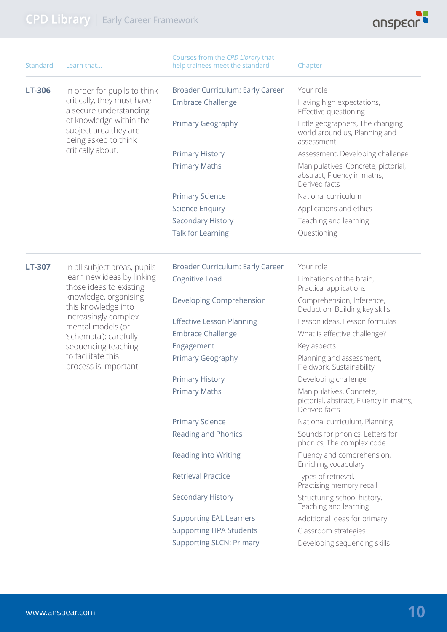

| Standard      | Learn that                                                                                                                            | Courses from the CPD Library that<br>help trainees meet the standard | Chapter                                                                             |
|---------------|---------------------------------------------------------------------------------------------------------------------------------------|----------------------------------------------------------------------|-------------------------------------------------------------------------------------|
| <b>LT-306</b> | In order for pupils to think<br>critically, they must have<br>a secure understanding                                                  | Broader Curriculum: Early Career                                     | Your role                                                                           |
|               |                                                                                                                                       | <b>Embrace Challenge</b>                                             | Having high expectations,<br>Effective questioning                                  |
|               | of knowledge within the<br>subject area they are<br>being asked to think                                                              | Primary Geography                                                    | Little geographers, The changing<br>world around us, Planning and<br>assessment     |
|               | critically about.                                                                                                                     | <b>Primary History</b>                                               | Assessment, Developing challenge                                                    |
|               |                                                                                                                                       | <b>Primary Maths</b>                                                 | Manipulatives, Concrete, pictorial,<br>abstract, Fluency in maths,<br>Derived facts |
|               |                                                                                                                                       | <b>Primary Science</b>                                               | National curriculum                                                                 |
|               |                                                                                                                                       | <b>Science Enquiry</b>                                               | Applications and ethics                                                             |
|               |                                                                                                                                       | <b>Secondary History</b>                                             | Teaching and learning                                                               |
|               |                                                                                                                                       | Talk for Learning                                                    | Questioning                                                                         |
| <b>LT-307</b> | In all subject areas, pupils<br>learn new ideas by linking<br>those ideas to existing<br>knowledge, organising<br>this knowledge into | Broader Curriculum: Early Career                                     | Your role                                                                           |
|               |                                                                                                                                       | Cognitive Load                                                       | Limitations of the brain,<br>Practical applications                                 |
|               |                                                                                                                                       | Developing Comprehension                                             | Comprehension, Inference,<br>Deduction, Building key skills                         |
|               | increasingly complex<br>mental models (or                                                                                             | <b>Effective Lesson Planning</b>                                     | Lesson ideas, Lesson formulas                                                       |
|               | 'schemata'); carefully                                                                                                                | <b>Embrace Challenge</b>                                             | What is effective challenge?                                                        |
|               | sequencing teaching                                                                                                                   | Engagement                                                           | Key aspects                                                                         |
|               | to facilitate this<br>process is important.                                                                                           | Primary Geography                                                    | Planning and assessment,<br>Fieldwork, Sustainability                               |
|               |                                                                                                                                       | <b>Primary History</b>                                               | Developing challenge                                                                |
|               |                                                                                                                                       | <b>Primary Maths</b>                                                 | Manipulatives, Concrete,<br>pictorial, abstract, Fluency in maths,<br>Derived facts |
|               |                                                                                                                                       | <b>Primary Science</b>                                               | National curriculum, Planning                                                       |
|               |                                                                                                                                       | Reading and Phonics                                                  | Sounds for phonics, Letters for<br>phonics, The complex code                        |
|               |                                                                                                                                       | <b>Reading into Writing</b>                                          | Fluency and comprehension,<br>Enriching vocabulary                                  |
|               |                                                                                                                                       | <b>Retrieval Practice</b>                                            | Types of retrieval,<br>Practising memory recall                                     |
|               |                                                                                                                                       | <b>Secondary History</b>                                             | Structuring school history,<br>Teaching and learning                                |
|               |                                                                                                                                       | <b>Supporting EAL Learners</b>                                       | Additional ideas for primary                                                        |
|               |                                                                                                                                       | <b>Supporting HPA Students</b>                                       | Classroom strategies                                                                |
|               |                                                                                                                                       | <b>Supporting SLCN: Primary</b>                                      | Developing sequencing skills                                                        |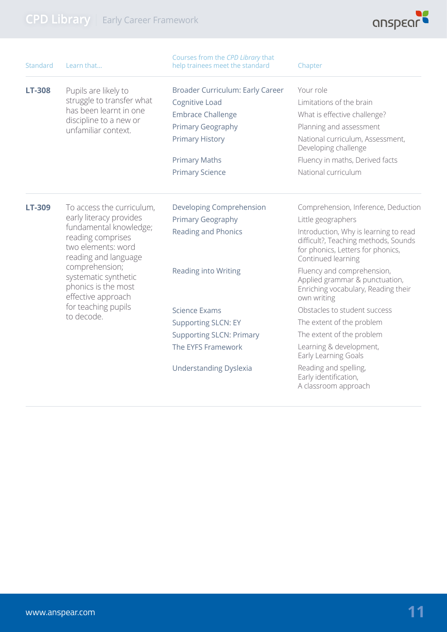

| Standard      | Learn that                                                                                                                                                                                                                               | Courses from the CPD Library that<br>help trainees meet the standard | Chapter                                                                                                                                  |
|---------------|------------------------------------------------------------------------------------------------------------------------------------------------------------------------------------------------------------------------------------------|----------------------------------------------------------------------|------------------------------------------------------------------------------------------------------------------------------------------|
| <b>LT-308</b> | Pupils are likely to                                                                                                                                                                                                                     | Broader Curriculum: Early Career                                     | Your role                                                                                                                                |
|               | struggle to transfer what                                                                                                                                                                                                                | Cognitive Load                                                       | Limitations of the brain                                                                                                                 |
|               | has been learnt in one<br>discipline to a new or                                                                                                                                                                                         | <b>Embrace Challenge</b>                                             | What is effective challenge?                                                                                                             |
|               | unfamiliar context.                                                                                                                                                                                                                      | Primary Geography                                                    | Planning and assessment                                                                                                                  |
|               |                                                                                                                                                                                                                                          | <b>Primary History</b>                                               | National curriculum, Assessment,<br>Developing challenge                                                                                 |
|               |                                                                                                                                                                                                                                          | <b>Primary Maths</b>                                                 | Fluency in maths, Derived facts                                                                                                          |
|               |                                                                                                                                                                                                                                          | <b>Primary Science</b>                                               | National curriculum                                                                                                                      |
| LT-309        | To access the curriculum,<br>early literacy provides<br>fundamental knowledge;<br>reading comprises<br>two elements: word<br>reading and language<br>comprehension;<br>systematic synthetic<br>phonics is the most<br>effective approach | Developing Comprehension                                             | Comprehension, Inference, Deduction                                                                                                      |
|               |                                                                                                                                                                                                                                          | <b>Primary Geography</b>                                             | Little geographers                                                                                                                       |
|               |                                                                                                                                                                                                                                          | <b>Reading and Phonics</b>                                           | Introduction, Why is learning to read<br>difficult?, Teaching methods, Sounds<br>for phonics, Letters for phonics,<br>Continued learning |
|               |                                                                                                                                                                                                                                          | <b>Reading into Writing</b>                                          | Fluency and comprehension,<br>Applied grammar & punctuation,<br>Enriching vocabulary, Reading their<br>own writing                       |
|               | for teaching pupils                                                                                                                                                                                                                      | <b>Science Exams</b>                                                 | Obstacles to student success                                                                                                             |
|               | to decode.                                                                                                                                                                                                                               | <b>Supporting SLCN: EY</b>                                           | The extent of the problem                                                                                                                |
|               |                                                                                                                                                                                                                                          | <b>Supporting SLCN: Primary</b>                                      | The extent of the problem                                                                                                                |
|               |                                                                                                                                                                                                                                          | The EYFS Framework                                                   | Learning & development,<br>Early Learning Goals                                                                                          |
|               |                                                                                                                                                                                                                                          | <b>Understanding Dyslexia</b>                                        | Reading and spelling,<br>Early identification,<br>A classroom approach                                                                   |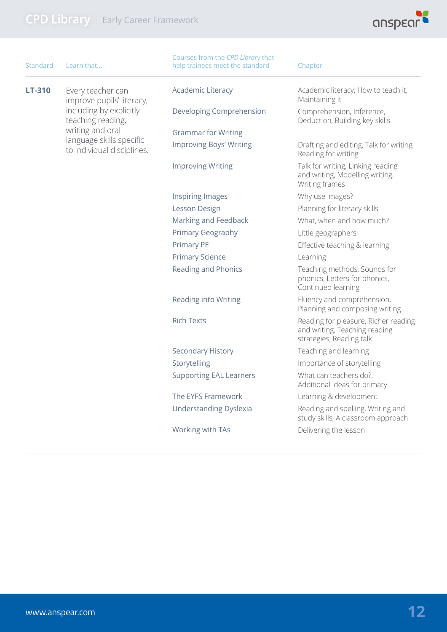

| <b>Standard</b> | Learn that                                             | Courses from the CPD Library that<br>help trainees meet the standard | Chapter                                                                                           |
|-----------------|--------------------------------------------------------|----------------------------------------------------------------------|---------------------------------------------------------------------------------------------------|
| LT-310          | Every teacher can<br>improve pupils' literacy,         | <b>Academic Literacy</b>                                             | Academic literacy, How to teach it,<br>Maintaining it                                             |
|                 | including by explicitly<br>teaching reading,           | Developing Comprehension                                             | Comprehension, Inference,<br>Deduction, Building key skills                                       |
|                 | writing and oral                                       | <b>Grammar for Writing</b>                                           |                                                                                                   |
|                 | language skills specific<br>to individual disciplines. | <b>Improving Boys' Writing</b>                                       | Drafting and editing, Talk for writing,<br>Reading for writing                                    |
|                 |                                                        | <b>Improving Writing</b>                                             | Talk for writing, Linking reading<br>and writing, Modelling writing,<br>Writing frames            |
|                 |                                                        | <b>Inspiring Images</b>                                              | Why use images?                                                                                   |
|                 |                                                        | Lesson Design                                                        | Planning for literacy skills                                                                      |
|                 |                                                        | Marking and Feedback                                                 | What, when and how much?                                                                          |
|                 |                                                        | Primary Geography                                                    | Little geographers                                                                                |
|                 |                                                        | Primary PE                                                           | Effective teaching & learning                                                                     |
|                 |                                                        | <b>Primary Science</b>                                               | Learning                                                                                          |
|                 |                                                        | Reading and Phonics                                                  | Teaching methods, Sounds for<br>phonics, Letters for phonics,<br>Continued learning               |
|                 |                                                        | Reading into Writing                                                 | Fluency and comprehension,<br>Planning and composing writing                                      |
|                 |                                                        | <b>Rich Texts</b>                                                    | Reading for pleasure, Richer reading<br>and writing, Teaching reading<br>strategies, Reading talk |
|                 |                                                        | <b>Secondary History</b>                                             | Teaching and learning                                                                             |
|                 |                                                        | Storytelling                                                         | Importance of storytelling                                                                        |
|                 |                                                        | <b>Supporting EAL Learners</b>                                       | What can teachers do?,<br>Additional ideas for primary                                            |
|                 |                                                        | The EYFS Framework                                                   | Learning & development                                                                            |
|                 |                                                        | <b>Understanding Dyslexia</b>                                        | Reading and spelling, Writing and<br>study skills, A classroom approach                           |
|                 |                                                        | Working with TAs                                                     | Delivering the lesson                                                                             |
|                 |                                                        |                                                                      |                                                                                                   |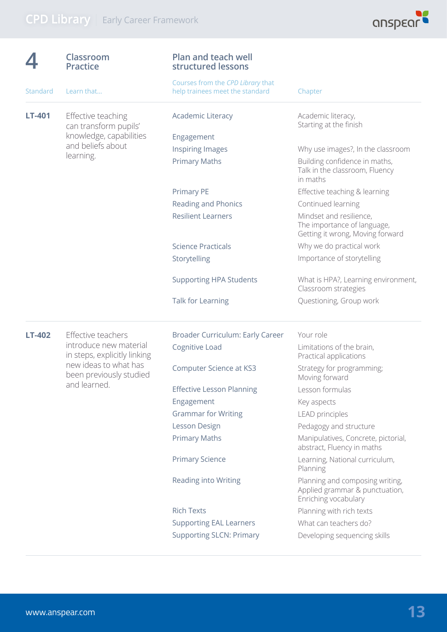

|          | Classroom<br><b>Practice</b>                                                                                                                     | <b>Plan and teach well</b><br>structured lessons                     |                                                                                            |
|----------|--------------------------------------------------------------------------------------------------------------------------------------------------|----------------------------------------------------------------------|--------------------------------------------------------------------------------------------|
| Standard | Learn that                                                                                                                                       | Courses from the CPD Library that<br>help trainees meet the standard | Chapter                                                                                    |
| LT-401   | Effective teaching<br>can transform pupils'                                                                                                      | <b>Academic Literacy</b>                                             | Academic literacy,<br>Starting at the finish                                               |
|          | knowledge, capabilities                                                                                                                          | Engagement                                                           |                                                                                            |
|          | and beliefs about                                                                                                                                | <b>Inspiring Images</b>                                              | Why use images?, In the classroom                                                          |
|          | learning.                                                                                                                                        | <b>Primary Maths</b>                                                 | Building confidence in maths,<br>Talk in the classroom, Fluency<br>in maths                |
|          |                                                                                                                                                  | <b>Primary PE</b>                                                    | Effective teaching & learning                                                              |
|          |                                                                                                                                                  | <b>Reading and Phonics</b>                                           | Continued learning                                                                         |
|          |                                                                                                                                                  | <b>Resilient Learners</b>                                            | Mindset and resilience,<br>The importance of language,<br>Getting it wrong, Moving forward |
|          |                                                                                                                                                  | <b>Science Practicals</b>                                            | Why we do practical work                                                                   |
|          |                                                                                                                                                  | Storytelling                                                         | Importance of storytelling                                                                 |
|          |                                                                                                                                                  | <b>Supporting HPA Students</b>                                       | What is HPA?, Learning environment,<br>Classroom strategies                                |
|          |                                                                                                                                                  | Talk for Learning                                                    | Questioning, Group work                                                                    |
| LT-402   | Effective teachers<br>introduce new material<br>in steps, explicitly linking<br>new ideas to what has<br>been previously studied<br>and learned. | Broader Curriculum: Early Career                                     | Your role                                                                                  |
|          |                                                                                                                                                  | Cognitive Load                                                       | Limitations of the brain,<br>Practical applications                                        |
|          |                                                                                                                                                  | <b>Computer Science at KS3</b>                                       | Strategy for programming;<br>Moving forward                                                |
|          |                                                                                                                                                  | <b>Effective Lesson Planning</b>                                     | Lesson formulas                                                                            |
|          |                                                                                                                                                  | Engagement                                                           | Key aspects                                                                                |
|          |                                                                                                                                                  | <b>Grammar for Writing</b>                                           | <b>LEAD</b> principles                                                                     |
|          |                                                                                                                                                  | Lesson Design                                                        | Pedagogy and structure                                                                     |
|          |                                                                                                                                                  | <b>Primary Maths</b>                                                 | Manipulatives, Concrete, pictorial,<br>abstract, Fluency in maths                          |
|          |                                                                                                                                                  | <b>Primary Science</b>                                               | Learning, National curriculum,<br>Planning                                                 |
|          |                                                                                                                                                  | Reading into Writing                                                 | Planning and composing writing,<br>Applied grammar & punctuation,<br>Enriching vocabulary  |
|          |                                                                                                                                                  | <b>Rich Texts</b>                                                    | Planning with rich texts                                                                   |
|          |                                                                                                                                                  | <b>Supporting EAL Learners</b>                                       | What can teachers do?                                                                      |
|          |                                                                                                                                                  | <b>Supporting SLCN: Primary</b>                                      | Developing sequencing skills                                                               |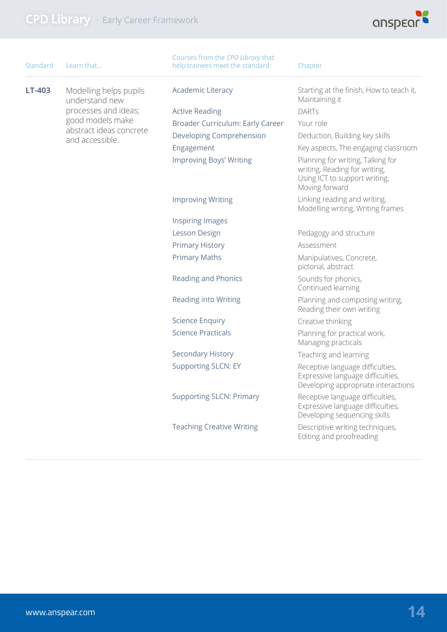

| Standard      | Learn that                                 | Courses from the CPD Library that<br>help trainees meet the standard | Chapter                                                                                                               |
|---------------|--------------------------------------------|----------------------------------------------------------------------|-----------------------------------------------------------------------------------------------------------------------|
| <b>LT-403</b> | Modelling helps pupils<br>understand new   | Academic Literacy                                                    | Starting at the finish, How to teach it,<br>Maintaining it                                                            |
|               | processes and ideas;                       | <b>Active Reading</b>                                                | <b>DARTS</b>                                                                                                          |
|               | good models make                           | Broader Curriculum: Early Career                                     | Your role                                                                                                             |
|               | abstract ideas concrete<br>and accessible. | Developing Comprehension                                             | Deduction, Building key skills                                                                                        |
|               |                                            | Engagement                                                           | Key aspects, The engaging classroom                                                                                   |
|               |                                            | <b>Improving Boys' Writing</b>                                       | Planning for writing, Talking for<br>writing, Reading for writing,<br>Using ICT to support writing,<br>Moving forward |
|               |                                            | <b>Improving Writing</b>                                             | Linking reading and writing,<br>Modelling writing, Writing frames                                                     |
|               |                                            | <b>Inspiring Images</b>                                              |                                                                                                                       |
|               |                                            | Lesson Design                                                        | Pedagogy and structure                                                                                                |
|               |                                            | <b>Primary History</b>                                               | Assessment                                                                                                            |
|               |                                            | <b>Primary Maths</b>                                                 | Manipulatives, Concrete,<br>pictorial, abstract                                                                       |
|               |                                            | Reading and Phonics                                                  | Sounds for phonics,<br>Continued learning                                                                             |
|               |                                            | <b>Reading into Writing</b>                                          | Planning and composing writing,<br>Reading their own writing                                                          |
|               |                                            | <b>Science Enquiry</b>                                               | Creative thinking                                                                                                     |
|               |                                            | <b>Science Practicals</b>                                            | Planning for practical work,<br>Managing practicals                                                                   |
|               |                                            | Secondary History                                                    | Teaching and learning                                                                                                 |
|               |                                            | <b>Supporting SLCN: EY</b>                                           | Receptive language difficulties,<br>Expressive language difficulties,<br>Developing appropriate interactions          |
|               |                                            | <b>Supporting SLCN: Primary</b>                                      | Receptive language difficulties,<br>Expressive language difficulties,<br>Developing sequencing skills                 |
|               |                                            | <b>Teaching Creative Writing</b>                                     | Descriptive writing techniques,<br>Editing and proofreading                                                           |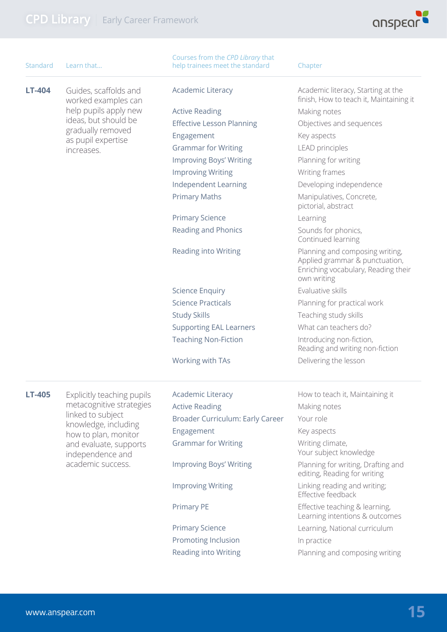

| <b>Standard</b> | Learn that                                                                                                                  | Courses from the CPD Library that<br>help trainees meet the standard | Chapter                                                                                                                 |
|-----------------|-----------------------------------------------------------------------------------------------------------------------------|----------------------------------------------------------------------|-------------------------------------------------------------------------------------------------------------------------|
| <b>LT-404</b>   | Guides, scaffolds and<br>worked examples can<br>help pupils apply new                                                       | Academic Literacy                                                    | Academic literacy, Starting at the<br>finish, How to teach it, Maintaining it                                           |
|                 |                                                                                                                             | <b>Active Reading</b>                                                | Making notes                                                                                                            |
|                 | ideas, but should be                                                                                                        | <b>Effective Lesson Planning</b>                                     | Objectives and sequences                                                                                                |
|                 | gradually removed<br>as pupil expertise                                                                                     | Engagement                                                           | Key aspects                                                                                                             |
|                 | increases.                                                                                                                  | <b>Grammar for Writing</b>                                           | <b>LEAD</b> principles                                                                                                  |
|                 |                                                                                                                             | <b>Improving Boys' Writing</b>                                       | Planning for writing                                                                                                    |
|                 |                                                                                                                             | <b>Improving Writing</b>                                             | Writing frames                                                                                                          |
|                 |                                                                                                                             | Independent Learning                                                 | Developing independence                                                                                                 |
|                 |                                                                                                                             | <b>Primary Maths</b>                                                 | Manipulatives, Concrete,<br>pictorial, abstract                                                                         |
|                 |                                                                                                                             | <b>Primary Science</b>                                               | Learning                                                                                                                |
|                 |                                                                                                                             | Reading and Phonics                                                  | Sounds for phonics,<br>Continued learning                                                                               |
|                 |                                                                                                                             | <b>Reading into Writing</b>                                          | Planning and composing writing,<br>Applied grammar & punctuation,<br>Enriching vocabulary, Reading their<br>own writing |
|                 |                                                                                                                             | <b>Science Enquiry</b>                                               | Evaluative skills                                                                                                       |
|                 |                                                                                                                             | <b>Science Practicals</b>                                            | Planning for practical work                                                                                             |
|                 |                                                                                                                             | <b>Study Skills</b>                                                  | Teaching study skills                                                                                                   |
|                 |                                                                                                                             | <b>Supporting EAL Learners</b>                                       | What can teachers do?                                                                                                   |
|                 |                                                                                                                             | <b>Teaching Non-Fiction</b>                                          | Introducing non-fiction,<br>Reading and writing non-fiction                                                             |
|                 |                                                                                                                             | Working with TAs                                                     | Delivering the lesson                                                                                                   |
| <b>LT-405</b>   | Explicitly teaching pupils<br>metacognitive strategies<br>linked to subject<br>knowledge, including<br>how to plan, monitor | <b>Academic Literacy</b>                                             | How to teach it, Maintaining it                                                                                         |
|                 |                                                                                                                             | <b>Active Reading</b>                                                | Making notes                                                                                                            |
|                 |                                                                                                                             | Broader Curriculum: Early Career                                     | Your role                                                                                                               |
|                 |                                                                                                                             | Engagement                                                           | Key aspects                                                                                                             |
|                 | and evaluate, supports<br>independence and                                                                                  | <b>Grammar for Writing</b>                                           | Writing climate,<br>Your subject knowledge                                                                              |
|                 | academic success.                                                                                                           | <b>Improving Boys' Writing</b>                                       | Planning for writing, Drafting and<br>editing, Reading for writing                                                      |
|                 |                                                                                                                             | <b>Improving Writing</b>                                             | Linking reading and writing;<br>Effective feedback                                                                      |
|                 |                                                                                                                             | <b>Primary PE</b>                                                    | Effective teaching & learning,<br>Learning intentions & outcomes                                                        |
|                 |                                                                                                                             | <b>Primary Science</b>                                               | Learning, National curriculum                                                                                           |
|                 |                                                                                                                             | Promoting Inclusion                                                  | In practice                                                                                                             |
|                 |                                                                                                                             | Reading into Writing                                                 | Planning and composing writing                                                                                          |
|                 |                                                                                                                             |                                                                      |                                                                                                                         |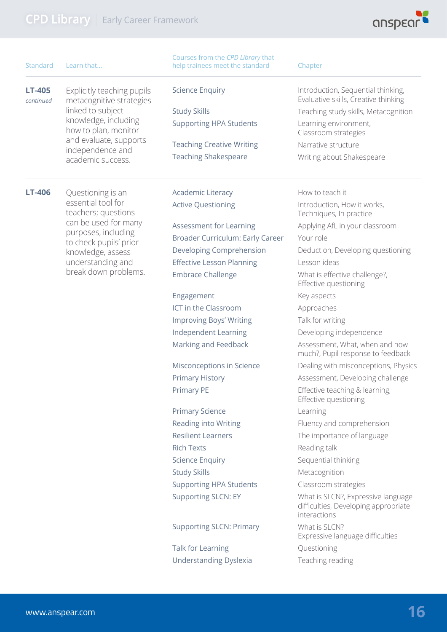

| Standard                   | Learn that                                             | Courses from the CPD Library that<br>help trainees meet the standard | Chapter                                                                                    |
|----------------------------|--------------------------------------------------------|----------------------------------------------------------------------|--------------------------------------------------------------------------------------------|
| <b>LT-405</b><br>continued | Explicitly teaching pupils<br>metacognitive strategies | <b>Science Enquiry</b>                                               | Introduction, Sequential thinking,<br>Evaluative skills, Creative thinking                 |
|                            | linked to subject                                      | <b>Study Skills</b>                                                  | Teaching study skills, Metacognition                                                       |
|                            | knowledge, including<br>how to plan, monitor           | <b>Supporting HPA Students</b>                                       | Learning environment,<br>Classroom strategies                                              |
|                            | and evaluate, supports<br>independence and             | <b>Teaching Creative Writing</b>                                     | Narrative structure                                                                        |
|                            | academic success.                                      | <b>Teaching Shakespeare</b>                                          | Writing about Shakespeare                                                                  |
| <b>LT-406</b>              | Questioning is an                                      | <b>Academic Literacy</b>                                             | How to teach it                                                                            |
|                            | essential tool for<br>teachers; questions              | <b>Active Questioning</b>                                            | Introduction, How it works,<br>Techniques, In practice                                     |
|                            | can be used for many<br>purposes, including            | Assessment for Learning                                              | Applying AfL in your classroom                                                             |
|                            | to check pupils' prior                                 | Broader Curriculum: Early Career                                     | Your role                                                                                  |
|                            | knowledge, assess                                      | Developing Comprehension                                             | Deduction, Developing questioning                                                          |
|                            | understanding and                                      | <b>Effective Lesson Planning</b>                                     | Lesson ideas                                                                               |
|                            | break down problems.                                   | <b>Embrace Challenge</b>                                             | What is effective challenge?,<br>Effective questioning                                     |
|                            |                                                        | Engagement                                                           | Key aspects                                                                                |
|                            |                                                        | ICT in the Classroom                                                 | Approaches                                                                                 |
|                            |                                                        | <b>Improving Boys' Writing</b>                                       | Talk for writing                                                                           |
|                            |                                                        | Independent Learning                                                 | Developing independence                                                                    |
|                            |                                                        | Marking and Feedback                                                 | Assessment, What, when and how<br>much?, Pupil response to feedback                        |
|                            |                                                        | Misconceptions in Science                                            | Dealing with misconceptions, Physics                                                       |
|                            |                                                        | <b>Primary History</b>                                               | Assessment, Developing challenge                                                           |
|                            |                                                        | <b>Primary PE</b>                                                    | Effective teaching & learning,<br>Effective questioning                                    |
|                            |                                                        | <b>Primary Science</b>                                               | Learning                                                                                   |
|                            |                                                        | Reading into Writing                                                 | Fluency and comprehension                                                                  |
|                            |                                                        | <b>Resilient Learners</b>                                            | The importance of language                                                                 |
|                            |                                                        | <b>Rich Texts</b>                                                    | Reading talk                                                                               |
|                            |                                                        | <b>Science Enquiry</b>                                               | Sequential thinking                                                                        |
|                            |                                                        | <b>Study Skills</b>                                                  | Metacognition                                                                              |
|                            |                                                        | <b>Supporting HPA Students</b>                                       | Classroom strategies                                                                       |
|                            |                                                        | <b>Supporting SLCN: EY</b>                                           | What is SLCN?, Expressive language<br>difficulties, Developing appropriate<br>interactions |
|                            |                                                        | <b>Supporting SLCN: Primary</b>                                      | What is SLCN?<br>Expressive language difficulties                                          |
|                            |                                                        | Talk for Learning                                                    | Questioning                                                                                |
|                            |                                                        | <b>Understanding Dyslexia</b>                                        | Teaching reading                                                                           |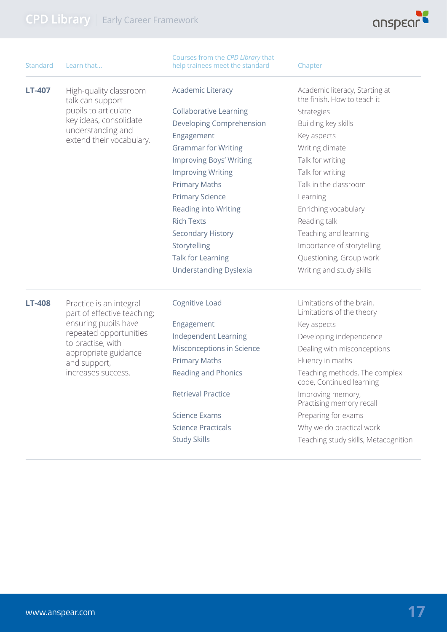

| Standard      | Learn that                                                                     | Courses from the CPD Library that<br>help trainees meet the standard | Chapter                                                       |
|---------------|--------------------------------------------------------------------------------|----------------------------------------------------------------------|---------------------------------------------------------------|
| LT-407        | High-quality classroom<br>talk can support                                     | <b>Academic Literacy</b>                                             | Academic literacy, Starting at<br>the finish, How to teach it |
|               | pupils to articulate                                                           | <b>Collaborative Learning</b>                                        | <b>Strategies</b>                                             |
|               | key ideas, consolidate                                                         | Developing Comprehension                                             | Building key skills                                           |
|               | understanding and<br>extend their vocabulary.                                  | Engagement                                                           | Key aspects                                                   |
|               |                                                                                | <b>Grammar for Writing</b>                                           | Writing climate                                               |
|               |                                                                                | <b>Improving Boys' Writing</b>                                       | Talk for writing                                              |
|               |                                                                                | <b>Improving Writing</b>                                             | Talk for writing                                              |
|               |                                                                                | <b>Primary Maths</b>                                                 | Talk in the classroom                                         |
|               |                                                                                | <b>Primary Science</b>                                               | Learning                                                      |
|               |                                                                                | Reading into Writing                                                 | Enriching vocabulary                                          |
|               |                                                                                | <b>Rich Texts</b>                                                    | Reading talk                                                  |
|               |                                                                                | Secondary History                                                    | Teaching and learning                                         |
|               |                                                                                | Storytelling                                                         | Importance of storytelling                                    |
|               |                                                                                | Talk for Learning                                                    | Questioning, Group work                                       |
|               |                                                                                | <b>Understanding Dyslexia</b>                                        | Writing and study skills                                      |
| <b>LT-408</b> | Practice is an integral<br>part of effective teaching;<br>ensuring pupils have | Cognitive Load                                                       | Limitations of the brain,<br>Limitations of the theory        |
|               |                                                                                | Engagement                                                           | Key aspects                                                   |
|               | repeated opportunities                                                         | Independent Learning                                                 | Developing independence                                       |
|               | to practise, with<br>appropriate guidance                                      | Misconceptions in Science                                            | Dealing with misconceptions                                   |
|               | and support,                                                                   | <b>Primary Maths</b>                                                 | Fluency in maths                                              |
|               | increases success.                                                             | <b>Reading and Phonics</b>                                           | Teaching methods, The complex<br>code, Continued learning     |
|               |                                                                                | <b>Retrieval Practice</b>                                            | Improving memory,<br>Practising memory recall                 |
|               |                                                                                | <b>Science Exams</b>                                                 | Preparing for exams                                           |
|               |                                                                                | <b>Science Practicals</b>                                            | Why we do practical work                                      |

Study Skills

Teaching study skills, Metacognition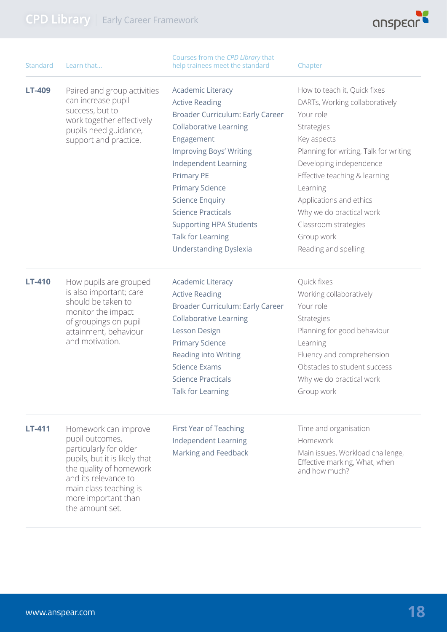

| Standard      | Learn that                                                                                                                                                                                                                | Courses from the CPD Library that<br>help trainees meet the standard                                                                                                                                                                                                                                                                                                                         | Chapter                                                                                                                                                                                                                                                                                                                                         |
|---------------|---------------------------------------------------------------------------------------------------------------------------------------------------------------------------------------------------------------------------|----------------------------------------------------------------------------------------------------------------------------------------------------------------------------------------------------------------------------------------------------------------------------------------------------------------------------------------------------------------------------------------------|-------------------------------------------------------------------------------------------------------------------------------------------------------------------------------------------------------------------------------------------------------------------------------------------------------------------------------------------------|
| LT-409        | Paired and group activities<br>can increase pupil<br>success, but to<br>work together effectively<br>pupils need guidance,<br>support and practice.                                                                       | <b>Academic Literacy</b><br><b>Active Reading</b><br>Broader Curriculum: Early Career<br><b>Collaborative Learning</b><br>Engagement<br><b>Improving Boys' Writing</b><br><b>Independent Learning</b><br>Primary PE<br><b>Primary Science</b><br><b>Science Enquiry</b><br><b>Science Practicals</b><br><b>Supporting HPA Students</b><br>Talk for Learning<br><b>Understanding Dyslexia</b> | How to teach it, Quick fixes<br>DARTs, Working collaboratively<br>Your role<br>Strategies<br>Key aspects<br>Planning for writing, Talk for writing<br>Developing independence<br>Effective teaching & learning<br>Learning<br>Applications and ethics<br>Why we do practical work<br>Classroom strategies<br>Group work<br>Reading and spelling |
| LT-410        | How pupils are grouped<br>is also important; care<br>should be taken to<br>monitor the impact<br>of groupings on pupil<br>attainment, behaviour<br>and motivation.                                                        | <b>Academic Literacy</b><br><b>Active Reading</b><br>Broader Curriculum: Early Career<br><b>Collaborative Learning</b><br>Lesson Design<br><b>Primary Science</b><br>Reading into Writing<br><b>Science Exams</b><br><b>Science Practicals</b><br>Talk for Learning                                                                                                                          | Quick fixes<br>Working collaboratively<br>Your role<br>Strategies<br>Planning for good behaviour<br>Learning<br>Fluency and comprehension<br>Obstacles to student success<br>Why we do practical work<br>Group work                                                                                                                             |
| <b>LT-411</b> | Homework can improve<br>pupil outcomes,<br>particularly for older<br>pupils, but it is likely that<br>the quality of homework<br>and its relevance to<br>main class teaching is<br>more important than<br>the amount set. | First Year of Teaching<br><b>Independent Learning</b><br>Marking and Feedback                                                                                                                                                                                                                                                                                                                | Time and organisation<br>Homework<br>Main issues, Workload challenge,<br>Effective marking, What, when<br>and how much?                                                                                                                                                                                                                         |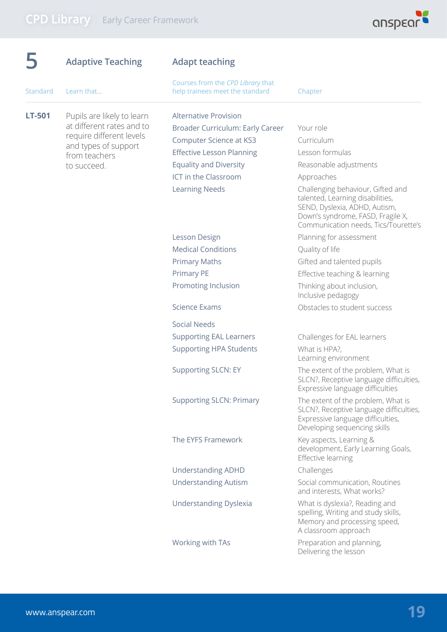

|          | <b>Adaptive Teaching</b>                                | <b>Adapt teaching</b>                                                |                                                                                                                                                                                     |  |
|----------|---------------------------------------------------------|----------------------------------------------------------------------|-------------------------------------------------------------------------------------------------------------------------------------------------------------------------------------|--|
| Standard | Learn that                                              | Courses from the CPD Library that<br>help trainees meet the standard | Chapter                                                                                                                                                                             |  |
| LT-501   | Pupils are likely to learn<br>at different rates and to | <b>Alternative Provision</b><br>Broader Curriculum: Early Career     | Your role                                                                                                                                                                           |  |
|          | require different levels                                | <b>Computer Science at KS3</b>                                       | Curriculum                                                                                                                                                                          |  |
|          | and types of support                                    | <b>Effective Lesson Planning</b>                                     | Lesson formulas                                                                                                                                                                     |  |
|          | from teachers<br>to succeed.                            | <b>Equality and Diversity</b>                                        | Reasonable adjustments                                                                                                                                                              |  |
|          |                                                         | ICT in the Classroom                                                 | Approaches                                                                                                                                                                          |  |
|          |                                                         | <b>Learning Needs</b>                                                | Challenging behaviour, Gifted and<br>talented, Learning disabilities,<br>SEND, Dyslexia, ADHD, Autism,<br>Down's syndrome, FASD, Fragile X,<br>Communication needs, Tics/Tourette's |  |
|          |                                                         | Lesson Design                                                        | Planning for assessment                                                                                                                                                             |  |
|          |                                                         | <b>Medical Conditions</b>                                            | Quality of life                                                                                                                                                                     |  |
|          |                                                         | <b>Primary Maths</b>                                                 | Gifted and talented pupils                                                                                                                                                          |  |
|          |                                                         | Primary PE                                                           | Effective teaching & learning                                                                                                                                                       |  |
|          |                                                         | Promoting Inclusion                                                  | Thinking about inclusion,<br>Inclusive pedagogy                                                                                                                                     |  |
|          |                                                         | <b>Science Exams</b>                                                 | Obstacles to student success                                                                                                                                                        |  |
|          |                                                         | <b>Social Needs</b>                                                  |                                                                                                                                                                                     |  |
|          |                                                         | <b>Supporting EAL Learners</b>                                       | Challenges for EAL learners                                                                                                                                                         |  |
|          |                                                         | <b>Supporting HPA Students</b>                                       | What is HPA?,<br>Learning environment                                                                                                                                               |  |
|          |                                                         | <b>Supporting SLCN: EY</b>                                           | The extent of the problem, What is<br>SLCN?, Receptive language difficulties,<br>Expressive language difficulties                                                                   |  |
|          |                                                         | <b>Supporting SLCN: Primary</b>                                      | The extent of the problem, What is<br>SLCN?, Receptive language difficulties,<br>Expressive language difficulties,<br>Developing sequencing skills                                  |  |
|          |                                                         | The EYFS Framework                                                   | Key aspects, Learning &<br>development, Early Learning Goals,<br>Effective learning                                                                                                 |  |
|          |                                                         | <b>Understanding ADHD</b>                                            | Challenges                                                                                                                                                                          |  |
|          |                                                         | <b>Understanding Autism</b>                                          | Social communication, Routines<br>and interests, What works?                                                                                                                        |  |
|          |                                                         | <b>Understanding Dyslexia</b>                                        | What is dyslexia?, Reading and<br>spelling, Writing and study skills,<br>Memory and processing speed,<br>A classroom approach                                                       |  |
|          |                                                         | Working with TAs                                                     | Preparation and planning,<br>Delivering the lesson                                                                                                                                  |  |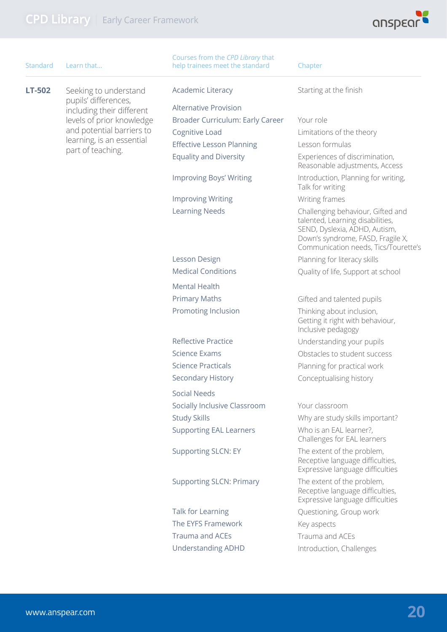

| Standard      | Learn that                                                                 | Courses from the CPD Library that<br>help trainees meet the standard | Chapter                                                                                                                                                                             |
|---------------|----------------------------------------------------------------------------|----------------------------------------------------------------------|-------------------------------------------------------------------------------------------------------------------------------------------------------------------------------------|
| <b>LT-502</b> | Seeking to understand<br>pupils' differences,<br>including their different | <b>Academic Literacy</b>                                             | Starting at the finish                                                                                                                                                              |
|               |                                                                            | <b>Alternative Provision</b>                                         |                                                                                                                                                                                     |
|               | levels of prior knowledge                                                  | Broader Curriculum: Early Career                                     | Your role                                                                                                                                                                           |
|               | and potential barriers to                                                  | Cognitive Load                                                       | Limitations of the theory                                                                                                                                                           |
|               | learning, is an essential                                                  | <b>Effective Lesson Planning</b>                                     | Lesson formulas                                                                                                                                                                     |
|               | part of teaching.                                                          | <b>Equality and Diversity</b>                                        | Experiences of discrimination,<br>Reasonable adjustments, Access                                                                                                                    |
|               |                                                                            | <b>Improving Boys' Writing</b>                                       | Introduction, Planning for writing,<br>Talk for writing                                                                                                                             |
|               |                                                                            | <b>Improving Writing</b>                                             | Writing frames                                                                                                                                                                      |
|               |                                                                            | <b>Learning Needs</b>                                                | Challenging behaviour, Gifted and<br>talented, Learning disabilities,<br>SEND, Dyslexia, ADHD, Autism,<br>Down's syndrome, FASD, Fragile X,<br>Communication needs, Tics/Tourette's |
|               |                                                                            | Lesson Design                                                        | Planning for literacy skills                                                                                                                                                        |
|               |                                                                            | <b>Medical Conditions</b>                                            | Quality of life, Support at school                                                                                                                                                  |
|               |                                                                            | <b>Mental Health</b>                                                 |                                                                                                                                                                                     |
|               |                                                                            | <b>Primary Maths</b>                                                 | Gifted and talented pupils                                                                                                                                                          |
|               |                                                                            | Promoting Inclusion                                                  | Thinking about inclusion,<br>Getting it right with behaviour,<br>Inclusive pedagogy                                                                                                 |
|               |                                                                            | <b>Reflective Practice</b>                                           | Understanding your pupils                                                                                                                                                           |
|               |                                                                            | <b>Science Exams</b>                                                 | Obstacles to student success                                                                                                                                                        |
|               |                                                                            | <b>Science Practicals</b>                                            | Planning for practical work                                                                                                                                                         |
|               |                                                                            | Secondary History                                                    | Conceptualising history                                                                                                                                                             |
|               |                                                                            | <b>Social Needs</b>                                                  |                                                                                                                                                                                     |
|               |                                                                            | Socially Inclusive Classroom                                         | Your classroom                                                                                                                                                                      |
|               |                                                                            | <b>Study Skills</b>                                                  | Why are study skills important?                                                                                                                                                     |
|               |                                                                            | <b>Supporting EAL Learners</b>                                       | Who is an EAL learner?,<br>Challenges for EAL learners                                                                                                                              |
|               |                                                                            | <b>Supporting SLCN: EY</b>                                           | The extent of the problem,<br>Receptive language difficulties,<br>Expressive language difficulties                                                                                  |
|               |                                                                            | <b>Supporting SLCN: Primary</b>                                      | The extent of the problem,<br>Receptive language difficulties,<br>Expressive language difficulties                                                                                  |
|               |                                                                            | Talk for Learning                                                    | Questioning, Group work                                                                                                                                                             |
|               |                                                                            | The EYFS Framework                                                   | Key aspects                                                                                                                                                                         |
|               |                                                                            | <b>Trauma and ACEs</b>                                               | Trauma and ACEs                                                                                                                                                                     |
|               |                                                                            | <b>Understanding ADHD</b>                                            | Introduction, Challenges                                                                                                                                                            |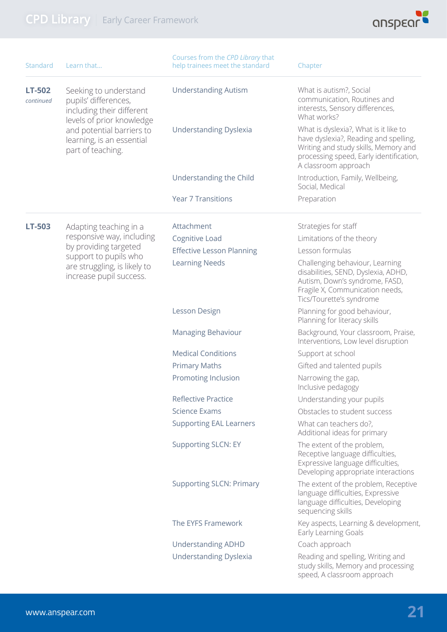

| Standard                   | Learn that                                                                                              | Courses from the CPD Library that<br>help trainees meet the standard | Chapter                                                                                                                                                                                   |
|----------------------------|---------------------------------------------------------------------------------------------------------|----------------------------------------------------------------------|-------------------------------------------------------------------------------------------------------------------------------------------------------------------------------------------|
| <b>LT-502</b><br>continued | Seeking to understand<br>pupils' differences,<br>including their different<br>levels of prior knowledge | <b>Understanding Autism</b>                                          | What is autism?, Social<br>communication, Routines and<br>interests, Sensory differences,<br>What works?                                                                                  |
|                            | and potential barriers to<br>learning, is an essential<br>part of teaching.                             | <b>Understanding Dyslexia</b>                                        | What is dyslexia?, What is it like to<br>have dyslexia?, Reading and spelling,<br>Writing and study skills, Memory and<br>processing speed, Early identification,<br>A classroom approach |
|                            |                                                                                                         | Understanding the Child                                              | Introduction, Family, Wellbeing,<br>Social, Medical                                                                                                                                       |
|                            |                                                                                                         | <b>Year 7 Transitions</b>                                            | Preparation                                                                                                                                                                               |
| LT-503                     | Adapting teaching in a                                                                                  | Attachment                                                           | Strategies for staff                                                                                                                                                                      |
|                            | responsive way, including                                                                               | Cognitive Load                                                       | Limitations of the theory                                                                                                                                                                 |
|                            | by providing targeted<br>support to pupils who                                                          | <b>Effective Lesson Planning</b>                                     | Lesson formulas                                                                                                                                                                           |
|                            | are struggling, is likely to<br>increase pupil success.                                                 | <b>Learning Needs</b>                                                | Challenging behaviour, Learning<br>disabilities, SEND, Dyslexia, ADHD,<br>Autism, Down's syndrome, FASD,<br>Fragile X, Communication needs,<br>Tics/Tourette's syndrome                   |
|                            |                                                                                                         | Lesson Design                                                        | Planning for good behaviour,<br>Planning for literacy skills                                                                                                                              |
|                            |                                                                                                         | <b>Managing Behaviour</b>                                            | Background, Your classroom, Praise,<br>Interventions, Low level disruption                                                                                                                |
|                            |                                                                                                         | <b>Medical Conditions</b>                                            | Support at school                                                                                                                                                                         |
|                            |                                                                                                         | <b>Primary Maths</b>                                                 | Gifted and talented pupils                                                                                                                                                                |
|                            |                                                                                                         | Promoting Inclusion                                                  | Narrowing the gap,<br>Inclusive pedagogy                                                                                                                                                  |
|                            |                                                                                                         | <b>Reflective Practice</b>                                           | Understanding your pupils                                                                                                                                                                 |
|                            |                                                                                                         | <b>Science Exams</b>                                                 | Obstacles to student success                                                                                                                                                              |
|                            |                                                                                                         | <b>Supporting EAL Learners</b>                                       | What can teachers do?,<br>Additional ideas for primary                                                                                                                                    |
|                            |                                                                                                         | <b>Supporting SLCN: EY</b>                                           | The extent of the problem,<br>Receptive language difficulties,<br>Expressive language difficulties,<br>Developing appropriate interactions                                                |
|                            |                                                                                                         | <b>Supporting SLCN: Primary</b>                                      | The extent of the problem, Receptive<br>language difficulties, Expressive<br>language difficulties, Developing<br>sequencing skills                                                       |
|                            |                                                                                                         | The EYFS Framework                                                   | Key aspects, Learning & development,<br>Early Learning Goals                                                                                                                              |
|                            |                                                                                                         | <b>Understanding ADHD</b>                                            | Coach approach                                                                                                                                                                            |
|                            |                                                                                                         | <b>Understanding Dyslexia</b>                                        | Reading and spelling, Writing and<br>study skills, Memory and processing<br>speed, A classroom approach                                                                                   |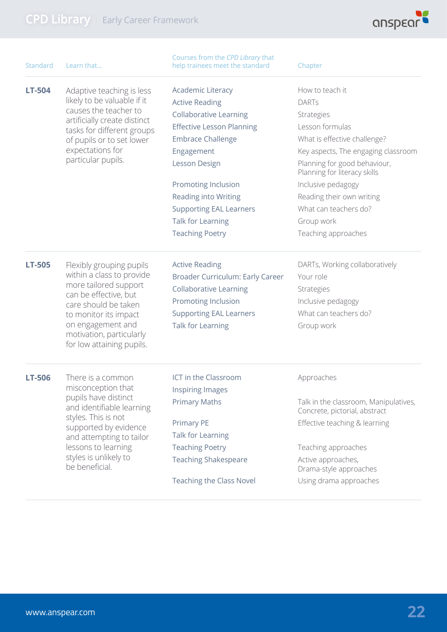

| Standard      | Learn that                                                                                                                                                                                                                             | Courses from the CPD Library that<br>help trainees meet the standard | Chapter                                                                |
|---------------|----------------------------------------------------------------------------------------------------------------------------------------------------------------------------------------------------------------------------------------|----------------------------------------------------------------------|------------------------------------------------------------------------|
| LT-504        | Adaptive teaching is less<br>likely to be valuable if it                                                                                                                                                                               | <b>Academic Literacy</b>                                             | How to teach it                                                        |
|               |                                                                                                                                                                                                                                        | <b>Active Reading</b>                                                | <b>DARTs</b>                                                           |
|               | causes the teacher to<br>artificially create distinct                                                                                                                                                                                  | <b>Collaborative Learning</b>                                        | Strategies                                                             |
|               | tasks for different groups                                                                                                                                                                                                             | <b>Effective Lesson Planning</b>                                     | Lesson formulas                                                        |
|               | of pupils or to set lower                                                                                                                                                                                                              | <b>Embrace Challenge</b>                                             | What is effective challenge?                                           |
|               | expectations for                                                                                                                                                                                                                       | Engagement                                                           | Key aspects, The engaging classroom                                    |
|               | particular pupils.                                                                                                                                                                                                                     | Lesson Design                                                        | Planning for good behaviour,<br>Planning for literacy skills           |
|               |                                                                                                                                                                                                                                        | Promoting Inclusion                                                  | Inclusive pedagogy                                                     |
|               |                                                                                                                                                                                                                                        | Reading into Writing                                                 | Reading their own writing                                              |
|               |                                                                                                                                                                                                                                        | <b>Supporting EAL Learners</b>                                       | What can teachers do?                                                  |
|               |                                                                                                                                                                                                                                        | Talk for Learning                                                    | Group work                                                             |
|               |                                                                                                                                                                                                                                        | <b>Teaching Poetry</b>                                               | Teaching approaches                                                    |
| <b>LT-505</b> | Flexibly grouping pupils<br>within a class to provide<br>more tailored support<br>can be effective, but<br>care should be taken<br>to monitor its impact<br>on engagement and<br>motivation, particularly<br>for low attaining pupils. | <b>Active Reading</b>                                                | DARTs, Working collaboratively                                         |
|               |                                                                                                                                                                                                                                        | Broader Curriculum: Early Career                                     | Your role                                                              |
|               |                                                                                                                                                                                                                                        | <b>Collaborative Learning</b>                                        | Strategies                                                             |
|               |                                                                                                                                                                                                                                        | Promoting Inclusion                                                  | Inclusive pedagogy                                                     |
|               |                                                                                                                                                                                                                                        | <b>Supporting EAL Learners</b>                                       | What can teachers do?                                                  |
|               |                                                                                                                                                                                                                                        | Talk for Learning                                                    | Group work                                                             |
| LT-506        | There is a common<br>misconception that                                                                                                                                                                                                | ICT in the Classroom                                                 | Approaches                                                             |
|               | pupils have distinct                                                                                                                                                                                                                   | Inspiring Images                                                     |                                                                        |
|               | and identifiable learning<br>styles. This is not                                                                                                                                                                                       | <b>Primary Maths</b>                                                 | Talk in the classroom, Manipulatives,<br>Concrete, pictorial, abstract |
|               | supported by evidence<br>and attempting to tailor                                                                                                                                                                                      | <b>Primary PE</b><br>Talk for Learning                               | Effective teaching & learning                                          |
|               | lessons to learning                                                                                                                                                                                                                    | <b>Teaching Poetry</b>                                               | Teaching approaches                                                    |
|               | styles is unlikely to<br>be beneficial.                                                                                                                                                                                                | <b>Teaching Shakespeare</b>                                          | Active approaches,                                                     |
|               |                                                                                                                                                                                                                                        | <b>Teaching the Class Novel</b>                                      | Drama-style approaches                                                 |
|               |                                                                                                                                                                                                                                        |                                                                      | Using drama approaches                                                 |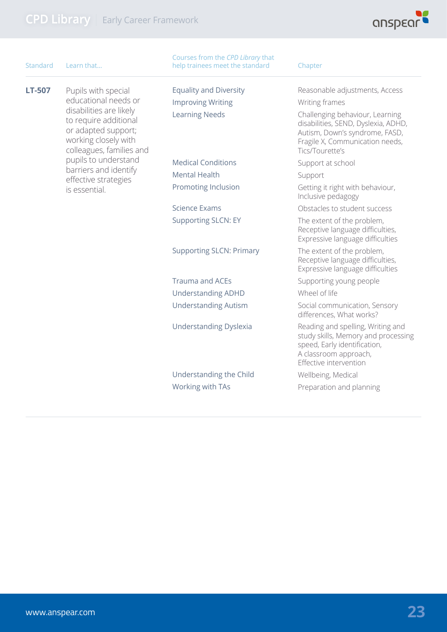

| Standard | Learn that                                                                                                                  | Courses from the CPD Library that<br>help trainees meet the standard | Chapter                                                                                                                                                        |
|----------|-----------------------------------------------------------------------------------------------------------------------------|----------------------------------------------------------------------|----------------------------------------------------------------------------------------------------------------------------------------------------------------|
| LT-507   | Pupils with special<br>educational needs or                                                                                 | <b>Equality and Diversity</b><br><b>Improving Writing</b>            | Reasonable adjustments, Access<br>Writing frames                                                                                                               |
|          | disabilities are likely<br>to require additional<br>or adapted support;<br>working closely with<br>colleagues, families and | <b>Learning Needs</b>                                                | Challenging behaviour, Learning<br>disabilities, SEND, Dyslexia, ADHD,<br>Autism, Down's syndrome, FASD,<br>Fragile X, Communication needs,<br>Tics/Tourette's |
|          | pupils to understand                                                                                                        | <b>Medical Conditions</b>                                            | Support at school                                                                                                                                              |
|          | barriers and identify<br>effective strategies                                                                               | <b>Mental Health</b>                                                 | Support                                                                                                                                                        |
|          | is essential.                                                                                                               | Promoting Inclusion                                                  | Getting it right with behaviour,<br>Inclusive pedagogy                                                                                                         |
|          |                                                                                                                             | <b>Science Exams</b>                                                 | Obstacles to student success                                                                                                                                   |
|          |                                                                                                                             | <b>Supporting SLCN: EY</b>                                           | The extent of the problem,<br>Receptive language difficulties,<br>Expressive language difficulties                                                             |
|          |                                                                                                                             | <b>Supporting SLCN: Primary</b>                                      | The extent of the problem,<br>Receptive language difficulties,<br>Expressive language difficulties                                                             |
|          |                                                                                                                             | <b>Trauma and ACEs</b>                                               | Supporting young people                                                                                                                                        |
|          |                                                                                                                             | <b>Understanding ADHD</b>                                            | Wheel of life                                                                                                                                                  |
|          |                                                                                                                             | <b>Understanding Autism</b>                                          | Social communication, Sensory<br>differences, What works?                                                                                                      |
|          |                                                                                                                             | <b>Understanding Dyslexia</b>                                        | Reading and spelling, Writing and<br>study skills, Memory and processing<br>speed, Early identification,<br>A classroom approach,<br>Effective intervention    |
|          |                                                                                                                             | Understanding the Child                                              | Wellbeing, Medical                                                                                                                                             |
|          |                                                                                                                             | Working with TAs                                                     | Preparation and planning                                                                                                                                       |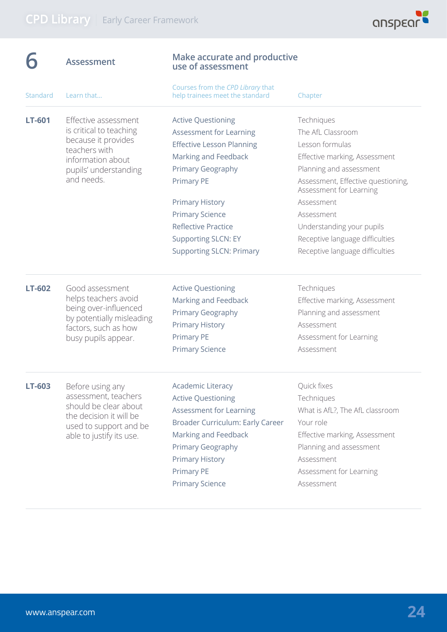|               | <b>Assessment</b>                                                                                                                                   | <b>Make accurate and productive</b><br>use of assessment                                                                                                                                                                                                                                                      |                                                                                                                                                                                                                                                                                                                |  |
|---------------|-----------------------------------------------------------------------------------------------------------------------------------------------------|---------------------------------------------------------------------------------------------------------------------------------------------------------------------------------------------------------------------------------------------------------------------------------------------------------------|----------------------------------------------------------------------------------------------------------------------------------------------------------------------------------------------------------------------------------------------------------------------------------------------------------------|--|
| Standard      | Learn that                                                                                                                                          | Courses from the CPD Library that<br>help trainees meet the standard                                                                                                                                                                                                                                          | Chapter                                                                                                                                                                                                                                                                                                        |  |
| <b>LT-601</b> | Effective assessment<br>is critical to teaching<br>because it provides<br>teachers with<br>information about<br>pupils' understanding<br>and needs. | <b>Active Questioning</b><br>Assessment for Learning<br><b>Effective Lesson Planning</b><br>Marking and Feedback<br>Primary Geography<br><b>Primary PE</b><br><b>Primary History</b><br><b>Primary Science</b><br><b>Reflective Practice</b><br><b>Supporting SLCN: EY</b><br><b>Supporting SLCN: Primary</b> | Techniques<br>The AfL Classroom<br>Lesson formulas<br>Effective marking, Assessment<br>Planning and assessment<br>Assessment, Effective questioning,<br>Assessment for Learning<br>Assessment<br>Assessment<br>Understanding your pupils<br>Receptive language difficulties<br>Receptive language difficulties |  |
| <b>LT-602</b> | Good assessment<br>helps teachers avoid<br>being over-influenced<br>by potentially misleading<br>factors, such as how<br>busy pupils appear.        | <b>Active Questioning</b><br>Marking and Feedback<br>Primary Geography<br><b>Primary History</b><br><b>Primary PE</b><br><b>Primary Science</b>                                                                                                                                                               | Techniques<br>Effective marking, Assessment<br>Planning and assessment<br>Assessment<br>Assessment for Learning<br>Assessment                                                                                                                                                                                  |  |
| LT-603        | Before using any<br>assessment, teachers<br>should be clear about<br>the decision it will be<br>used to support and be<br>able to justify its use.  | <b>Academic Literacy</b><br><b>Active Questioning</b><br>Assessment for Learning<br>Broader Curriculum: Early Career<br>Marking and Feedback<br>Primary Geography<br><b>Primary History</b><br>Primary PE<br><b>Primary Science</b>                                                                           | Quick fixes<br>Techniques<br>What is AfL?, The AfL classroom<br>Your role<br>Effective marking, Assessment<br>Planning and assessment<br>Assessment<br>Assessment for Learning<br>Assessment                                                                                                                   |  |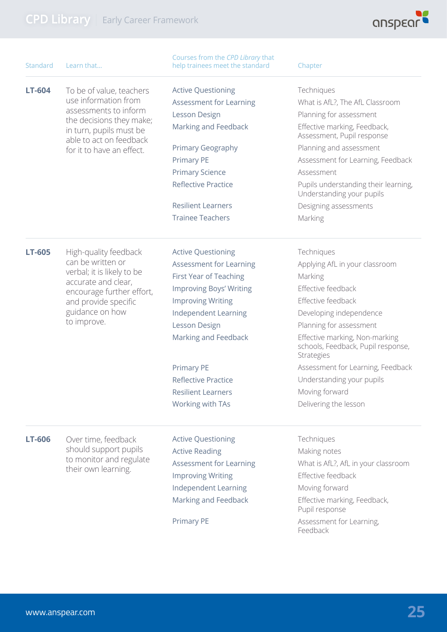

| Standard      | Learn that                                                                                                                                                  | Courses from the CPD Library that<br>help trainees meet the standard | Chapter                                                                            |
|---------------|-------------------------------------------------------------------------------------------------------------------------------------------------------------|----------------------------------------------------------------------|------------------------------------------------------------------------------------|
| LT-604        | To be of value, teachers<br>use information from<br>assessments to inform<br>the decisions they make;<br>in turn, pupils must be<br>able to act on feedback | <b>Active Questioning</b>                                            | Techniques                                                                         |
|               |                                                                                                                                                             | Assessment for Learning                                              | What is AfL?, The AfL Classroom                                                    |
|               |                                                                                                                                                             | Lesson Design                                                        | Planning for assessment                                                            |
|               |                                                                                                                                                             | Marking and Feedback                                                 | Effective marking, Feedback,<br>Assessment, Pupil response                         |
|               | for it to have an effect.                                                                                                                                   | Primary Geography                                                    | Planning and assessment                                                            |
|               |                                                                                                                                                             | Primary PE                                                           | Assessment for Learning, Feedback                                                  |
|               |                                                                                                                                                             | <b>Primary Science</b>                                               | Assessment                                                                         |
|               |                                                                                                                                                             | <b>Reflective Practice</b>                                           | Pupils understanding their learning,<br>Understanding your pupils                  |
|               |                                                                                                                                                             | <b>Resilient Learners</b>                                            | Designing assessments                                                              |
|               |                                                                                                                                                             | <b>Trainee Teachers</b>                                              | Marking                                                                            |
| LT-605        | High-quality feedback                                                                                                                                       | <b>Active Questioning</b>                                            | Techniques                                                                         |
|               | can be written or<br>verbal; it is likely to be<br>accurate and clear,<br>encourage further effort,                                                         | Assessment for Learning                                              | Applying AfL in your classroom                                                     |
|               |                                                                                                                                                             | First Year of Teaching                                               | Marking                                                                            |
|               |                                                                                                                                                             | <b>Improving Boys' Writing</b>                                       | Effective feedback                                                                 |
|               | and provide specific                                                                                                                                        | <b>Improving Writing</b>                                             | Effective feedback                                                                 |
|               | guidance on how                                                                                                                                             | Independent Learning                                                 | Developing independence                                                            |
|               | to improve.                                                                                                                                                 | Lesson Design                                                        | Planning for assessment                                                            |
|               |                                                                                                                                                             | Marking and Feedback                                                 | Effective marking, Non-marking<br>schools, Feedback, Pupil response,<br>Strategies |
|               |                                                                                                                                                             | <b>Primary PE</b>                                                    | Assessment for Learning, Feedback                                                  |
|               |                                                                                                                                                             | <b>Reflective Practice</b>                                           | Understanding your pupils                                                          |
|               |                                                                                                                                                             | <b>Resilient Learners</b>                                            | Moving forward                                                                     |
|               |                                                                                                                                                             | Working with TAs                                                     | Delivering the lesson                                                              |
| <b>LT-606</b> | Over time, feedback                                                                                                                                         | <b>Active Questioning</b>                                            | Techniques                                                                         |
|               | should support pupils<br>to monitor and regulate                                                                                                            | <b>Active Reading</b>                                                | Making notes                                                                       |
|               |                                                                                                                                                             | Assessment for Learning                                              | What is AfL?, AfL in your classroom                                                |
|               | their own learning.                                                                                                                                         | <b>Improving Writing</b>                                             | Effective feedback                                                                 |
|               |                                                                                                                                                             | Independent Learning                                                 | Moving forward                                                                     |
|               |                                                                                                                                                             | Marking and Feedback                                                 | Effective marking, Feedback,<br>Pupil response                                     |
|               |                                                                                                                                                             | Primary PE                                                           | Assessment for Learning,<br>Feedback                                               |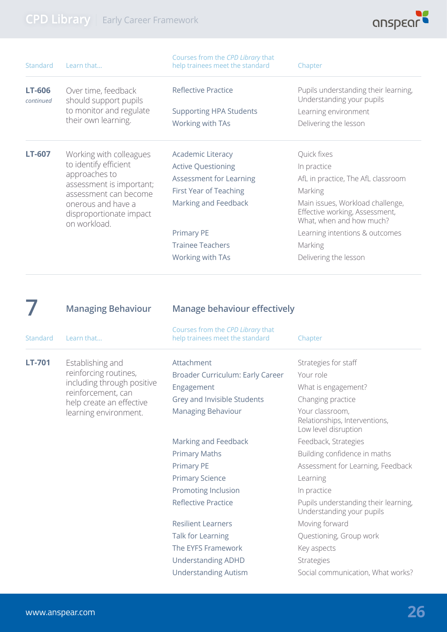

| Standard                   | Learn that                                                                                                                                                   | Courses from the CPD Library that<br>help trainees meet the standard | Chapter                                                                                        |
|----------------------------|--------------------------------------------------------------------------------------------------------------------------------------------------------------|----------------------------------------------------------------------|------------------------------------------------------------------------------------------------|
| <b>LT-606</b><br>continued | Over time, feedback<br>should support pupils                                                                                                                 | <b>Reflective Practice</b>                                           | Pupils understanding their learning,<br>Understanding your pupils                              |
|                            | to monitor and regulate                                                                                                                                      | <b>Supporting HPA Students</b>                                       | Learning environment                                                                           |
|                            | their own learning.                                                                                                                                          | Working with TAs                                                     | Delivering the lesson                                                                          |
| LT-607                     | Working with colleagues                                                                                                                                      | <b>Academic Literacy</b>                                             | Quick fixes                                                                                    |
|                            | to identify efficient<br>approaches to<br>assessment is important;<br>assessment can become<br>onerous and have a<br>disproportionate impact<br>on workload. | <b>Active Questioning</b>                                            | In practice                                                                                    |
|                            |                                                                                                                                                              | Assessment for Learning                                              | AfL in practice, The AfL classroom                                                             |
|                            |                                                                                                                                                              | First Year of Teaching                                               | Marking                                                                                        |
|                            |                                                                                                                                                              | Marking and Feedback                                                 | Main issues, Workload challenge,<br>Effective working, Assessment,<br>What, when and how much? |
|                            |                                                                                                                                                              | <b>Primary PE</b>                                                    | Learning intentions & outcomes                                                                 |
|                            |                                                                                                                                                              | <b>Trainee Teachers</b>                                              | Marking                                                                                        |
|                            |                                                                                                                                                              | Working with TAs                                                     | Delivering the lesson                                                                          |
|                            |                                                                                                                                                              |                                                                      |                                                                                                |
|                            | <b>Managing Behaviour</b>                                                                                                                                    | <b>Manage behaviour effectively</b>                                  |                                                                                                |

| <b>Standard</b> | Learn that                                                              | Courses from the CPD Library that<br>help trainees meet the standard | Chapter                                                                  |
|-----------------|-------------------------------------------------------------------------|----------------------------------------------------------------------|--------------------------------------------------------------------------|
| <b>LT-701</b>   | Establishing and<br>reinforcing routines,<br>including through positive | Attachment                                                           | Strategies for staff                                                     |
|                 |                                                                         | Broader Curriculum: Early Career                                     | Your role                                                                |
|                 |                                                                         | Engagement                                                           | What is engagement?                                                      |
|                 | reinforcement, can<br>help create an effective                          | Grey and Invisible Students                                          | Changing practice                                                        |
|                 | learning environment.                                                   | Managing Behaviour                                                   | Your classroom,<br>Relationships, Interventions,<br>Low level disruption |
|                 |                                                                         | Marking and Feedback                                                 | Feedback, Strategies                                                     |
|                 |                                                                         | <b>Primary Maths</b>                                                 | Building confidence in maths                                             |
|                 |                                                                         | Primary PE                                                           | Assessment for Learning, Feedback                                        |
|                 |                                                                         | <b>Primary Science</b>                                               | Learning                                                                 |
|                 |                                                                         | Promoting Inclusion                                                  | In practice                                                              |
|                 |                                                                         | <b>Reflective Practice</b>                                           | Pupils understanding their learning,<br>Understanding your pupils        |
|                 |                                                                         | <b>Resilient Learners</b>                                            | Moving forward                                                           |
|                 |                                                                         | Talk for Learning                                                    | Questioning, Group work                                                  |
|                 |                                                                         | The EYFS Framework                                                   | Key aspects                                                              |
|                 |                                                                         | <b>Understanding ADHD</b>                                            | <b>Strategies</b>                                                        |
|                 |                                                                         | <b>Understanding Autism</b>                                          | Social communication, What works?                                        |
|                 |                                                                         |                                                                      |                                                                          |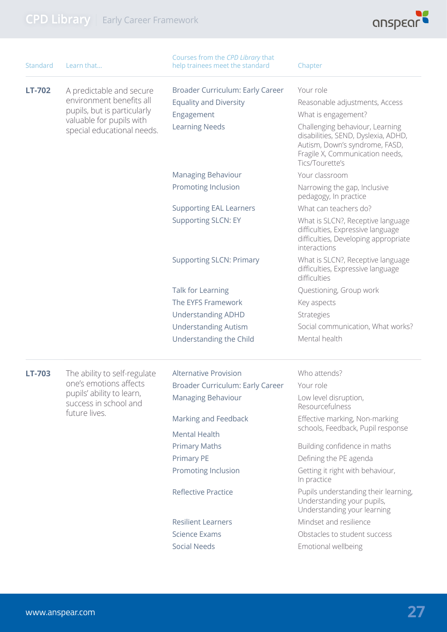

| <b>Standard</b> | Learn that                                                                                                                                    | Courses from the CPD Library that<br>help trainees meet the standard | Chapter                                                                                                                                                        |
|-----------------|-----------------------------------------------------------------------------------------------------------------------------------------------|----------------------------------------------------------------------|----------------------------------------------------------------------------------------------------------------------------------------------------------------|
| LT-702          | A predictable and secure<br>environment benefits all<br>pupils, but is particularly<br>valuable for pupils with<br>special educational needs. | Broader Curriculum: Early Career                                     | Your role                                                                                                                                                      |
|                 |                                                                                                                                               | <b>Equality and Diversity</b>                                        | Reasonable adjustments, Access                                                                                                                                 |
|                 |                                                                                                                                               | Engagement                                                           | What is engagement?                                                                                                                                            |
|                 |                                                                                                                                               | <b>Learning Needs</b>                                                | Challenging behaviour, Learning<br>disabilities, SEND, Dyslexia, ADHD,<br>Autism, Down's syndrome, FASD,<br>Fragile X, Communication needs,<br>Tics/Tourette's |
|                 |                                                                                                                                               | <b>Managing Behaviour</b>                                            | Your classroom                                                                                                                                                 |
|                 |                                                                                                                                               | Promoting Inclusion                                                  | Narrowing the gap, Inclusive<br>pedagogy, In practice                                                                                                          |
|                 |                                                                                                                                               | <b>Supporting EAL Learners</b>                                       | What can teachers do?                                                                                                                                          |
|                 |                                                                                                                                               | <b>Supporting SLCN: EY</b>                                           | What is SLCN?, Receptive language<br>difficulties, Expressive language<br>difficulties, Developing appropriate<br>interactions                                 |
|                 |                                                                                                                                               | <b>Supporting SLCN: Primary</b>                                      | What is SLCN?, Receptive language<br>difficulties, Expressive language<br>difficulties                                                                         |
|                 |                                                                                                                                               | Talk for Learning                                                    | Questioning, Group work                                                                                                                                        |
|                 |                                                                                                                                               | The EYFS Framework                                                   | Key aspects                                                                                                                                                    |
|                 |                                                                                                                                               | <b>Understanding ADHD</b>                                            | Strategies                                                                                                                                                     |
|                 |                                                                                                                                               | <b>Understanding Autism</b>                                          | Social communication, What works?                                                                                                                              |
|                 |                                                                                                                                               | Understanding the Child                                              | Mental health                                                                                                                                                  |
| LT-703          | The ability to self-regulate                                                                                                                  | <b>Alternative Provision</b>                                         | Who attends?                                                                                                                                                   |
|                 | one's emotions affects<br>pupils' ability to learn,<br>success in school and<br>future lives.                                                 | Broader Curriculum: Early Career                                     | Your role                                                                                                                                                      |
|                 |                                                                                                                                               | <b>Managing Behaviour</b>                                            | Low level disruption,<br>Resourcefulness                                                                                                                       |
|                 |                                                                                                                                               | Marking and Feedback                                                 | Effective marking, Non-marking<br>schools, Feedback, Pupil response                                                                                            |
|                 |                                                                                                                                               | <b>Mental Health</b>                                                 |                                                                                                                                                                |
|                 |                                                                                                                                               | <b>Primary Maths</b>                                                 | Building confidence in maths                                                                                                                                   |
|                 |                                                                                                                                               | <b>Primary PE</b>                                                    | Defining the PE agenda                                                                                                                                         |
|                 |                                                                                                                                               | Promoting Inclusion                                                  | Getting it right with behaviour,<br>In practice                                                                                                                |
|                 |                                                                                                                                               | <b>Reflective Practice</b>                                           | Pupils understanding their learning,<br>Understanding your pupils,<br>Understanding your learning                                                              |
|                 |                                                                                                                                               | <b>Resilient Learners</b>                                            | Mindset and resilience                                                                                                                                         |
|                 |                                                                                                                                               | <b>Science Exams</b>                                                 | Obstacles to student success                                                                                                                                   |
|                 |                                                                                                                                               | <b>Social Needs</b>                                                  | Emotional wellbeing                                                                                                                                            |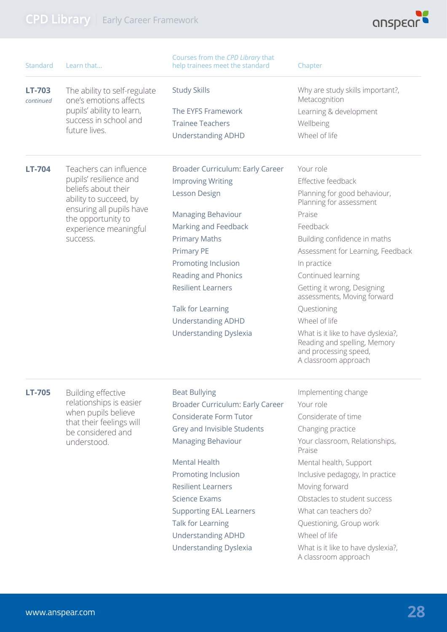

| Standard                   | Learn that                                                                                      | Courses from the CPD Library that<br>help trainees meet the standard | Chapter                                                                                                             |
|----------------------------|-------------------------------------------------------------------------------------------------|----------------------------------------------------------------------|---------------------------------------------------------------------------------------------------------------------|
| <b>LT-703</b><br>continued | The ability to self-regulate<br>one's emotions affects                                          | <b>Study Skills</b>                                                  | Why are study skills important?,<br>Metacognition                                                                   |
|                            | pupils' ability to learn,                                                                       | The EYFS Framework                                                   | Learning & development                                                                                              |
|                            | success in school and                                                                           | <b>Trainee Teachers</b>                                              | Wellbeing                                                                                                           |
|                            | future lives.                                                                                   | <b>Understanding ADHD</b>                                            | Wheel of life                                                                                                       |
| <b>LT-704</b>              | Teachers can influence                                                                          | Broader Curriculum: Early Career                                     | Your role                                                                                                           |
|                            | pupils' resilience and                                                                          | <b>Improving Writing</b>                                             | Effective feedback                                                                                                  |
|                            | beliefs about their<br>ability to succeed, by                                                   | Lesson Design                                                        | Planning for good behaviour,<br>Planning for assessment                                                             |
|                            | ensuring all pupils have<br>the opportunity to                                                  | <b>Managing Behaviour</b>                                            | Praise                                                                                                              |
|                            | experience meaningful                                                                           | Marking and Feedback                                                 | Feedback                                                                                                            |
|                            | success.                                                                                        | <b>Primary Maths</b>                                                 | Building confidence in maths                                                                                        |
|                            |                                                                                                 | Primary PE                                                           | Assessment for Learning, Feedback                                                                                   |
|                            |                                                                                                 | Promoting Inclusion                                                  | In practice                                                                                                         |
|                            |                                                                                                 | <b>Reading and Phonics</b>                                           | Continued learning                                                                                                  |
|                            |                                                                                                 | <b>Resilient Learners</b>                                            | Getting it wrong, Designing<br>assessments, Moving forward                                                          |
|                            |                                                                                                 | Talk for Learning                                                    | Questioning                                                                                                         |
|                            |                                                                                                 | <b>Understanding ADHD</b>                                            | Wheel of life                                                                                                       |
|                            |                                                                                                 | <b>Understanding Dyslexia</b>                                        | What is it like to have dyslexia?,<br>Reading and spelling, Memory<br>and processing speed,<br>A classroom approach |
| <b>LT-705</b>              | Building effective                                                                              | <b>Beat Bullying</b>                                                 | Implementing change                                                                                                 |
|                            | relationships is easier<br>when pupils believe<br>that their feelings will<br>be considered and | Broader Curriculum: Early Career                                     | Your role                                                                                                           |
|                            |                                                                                                 | Considerate Form Tutor                                               | Considerate of time                                                                                                 |
|                            |                                                                                                 | Grey and Invisible Students                                          | Changing practice                                                                                                   |
|                            | understood.                                                                                     | Managing Behaviour                                                   | Your classroom, Relationships,<br>Praise                                                                            |
|                            |                                                                                                 | <b>Mental Health</b>                                                 | Mental health, Support                                                                                              |
|                            |                                                                                                 | Promoting Inclusion                                                  | Inclusive pedagogy, In practice                                                                                     |
|                            |                                                                                                 | <b>Resilient Learners</b>                                            | Moving forward                                                                                                      |
|                            |                                                                                                 | <b>Science Exams</b>                                                 | Obstacles to student success                                                                                        |
|                            |                                                                                                 | <b>Supporting EAL Learners</b>                                       | What can teachers do?                                                                                               |
|                            |                                                                                                 | Talk for Learning                                                    | Questioning, Group work                                                                                             |
|                            |                                                                                                 | <b>Understanding ADHD</b>                                            | Wheel of life                                                                                                       |
|                            |                                                                                                 | <b>Understanding Dyslexia</b>                                        | What is it like to have dyslexia?,<br>A classroom approach                                                          |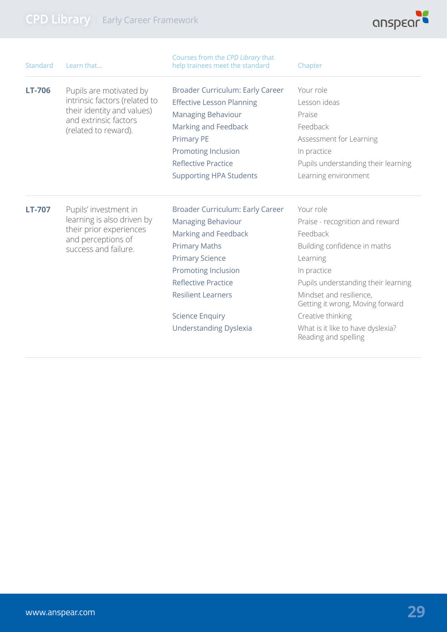

| Standard      | Learn that                                                                                                                   | Courses from the CPD Library that<br>help trainees meet the standard | Chapter                                                     |
|---------------|------------------------------------------------------------------------------------------------------------------------------|----------------------------------------------------------------------|-------------------------------------------------------------|
| <b>LT-706</b> | Pupils are motivated by                                                                                                      | Broader Curriculum: Early Career                                     | Your role                                                   |
|               | intrinsic factors (related to<br>their identity and values)                                                                  | <b>Effective Lesson Planning</b>                                     | Lesson ideas                                                |
|               |                                                                                                                              | Managing Behaviour                                                   | Praise                                                      |
|               | and extrinsic factors<br>(related to reward).                                                                                | Marking and Feedback                                                 | Feedback                                                    |
|               |                                                                                                                              | <b>Primary PE</b>                                                    | Assessment for Learning                                     |
|               |                                                                                                                              | Promoting Inclusion                                                  | In practice                                                 |
|               |                                                                                                                              | <b>Reflective Practice</b>                                           | Pupils understanding their learning                         |
|               |                                                                                                                              | <b>Supporting HPA Students</b>                                       | Learning environment                                        |
| <b>LT-707</b> | Pupils' investment in<br>learning is also driven by<br>their prior experiences<br>and perceptions of<br>success and failure. | Broader Curriculum: Early Career                                     | Your role                                                   |
|               |                                                                                                                              | Managing Behaviour                                                   | Praise - recognition and reward                             |
|               |                                                                                                                              | Marking and Feedback                                                 | Feedback                                                    |
|               |                                                                                                                              | <b>Primary Maths</b>                                                 | Building confidence in maths                                |
|               |                                                                                                                              | <b>Primary Science</b>                                               | Learning                                                    |
|               |                                                                                                                              | Promoting Inclusion                                                  | In practice                                                 |
|               |                                                                                                                              | <b>Reflective Practice</b>                                           | Pupils understanding their learning                         |
|               |                                                                                                                              | <b>Resilient Learners</b>                                            | Mindset and resilience,<br>Getting it wrong, Moving forward |
|               |                                                                                                                              | <b>Science Enquiry</b>                                               | Creative thinking                                           |
|               |                                                                                                                              | <b>Understanding Dyslexia</b>                                        | What is it like to have dyslexia?<br>Reading and spelling   |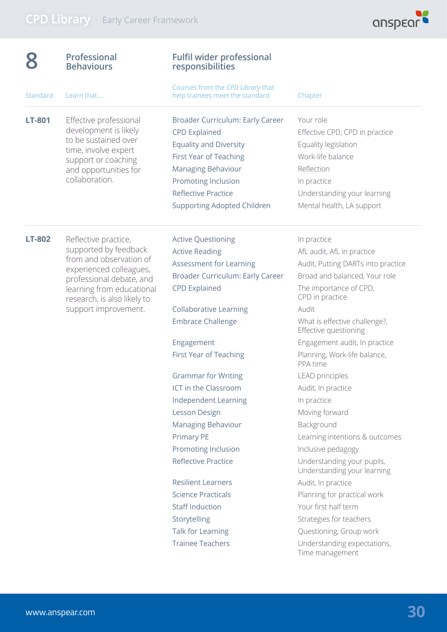

| <b>Professional</b><br><b>Behaviours</b>                                                                                                                                                                            | <b>Fulfil wider professional</b><br>responsibilities                                                                                                                                                                                                                                                                                                                                                                                                                                                                                                                                       |                                                                                                                                                                                                                                                                                                                                                                                                                                                                                                                                                                                                                                                                                                     |
|---------------------------------------------------------------------------------------------------------------------------------------------------------------------------------------------------------------------|--------------------------------------------------------------------------------------------------------------------------------------------------------------------------------------------------------------------------------------------------------------------------------------------------------------------------------------------------------------------------------------------------------------------------------------------------------------------------------------------------------------------------------------------------------------------------------------------|-----------------------------------------------------------------------------------------------------------------------------------------------------------------------------------------------------------------------------------------------------------------------------------------------------------------------------------------------------------------------------------------------------------------------------------------------------------------------------------------------------------------------------------------------------------------------------------------------------------------------------------------------------------------------------------------------------|
| Learn that                                                                                                                                                                                                          | Courses from the CPD Library that<br>help trainees meet the standard                                                                                                                                                                                                                                                                                                                                                                                                                                                                                                                       | Chapter                                                                                                                                                                                                                                                                                                                                                                                                                                                                                                                                                                                                                                                                                             |
| Effective professional<br>development is likely<br>to be sustained over<br>time, involve expert<br>support or coaching<br>and opportunities for<br>collaboration.                                                   | Broader Curriculum: Early Career<br><b>CPD Explained</b><br><b>Equality and Diversity</b><br><b>First Year of Teaching</b><br>Managing Behaviour<br>Promoting Inclusion<br><b>Reflective Practice</b><br><b>Supporting Adopted Children</b>                                                                                                                                                                                                                                                                                                                                                | Your role<br>Effective CPD, CPD in practice<br>Equality legislation<br>Work-life balance<br>Reflection<br>In practice<br>Understanding your learning<br>Mental health, LA support                                                                                                                                                                                                                                                                                                                                                                                                                                                                                                                   |
| Reflective practice,<br>supported by feedback<br>from and observation of<br>experienced colleagues,<br>professional debate, and<br>learning from educational<br>research, is also likely to<br>support improvement. | <b>Active Questioning</b><br><b>Active Reading</b><br>Assessment for Learning<br>Broader Curriculum: Early Career<br><b>CPD Explained</b><br><b>Collaborative Learning</b><br><b>Embrace Challenge</b><br>Engagement<br>First Year of Teaching<br><b>Grammar for Writing</b><br>ICT in the Classroom<br>Independent Learning<br>Lesson Design<br>Managing Behaviour<br>Primary PE<br>Promoting Inclusion<br><b>Reflective Practice</b><br><b>Resilient Learners</b><br><b>Science Practicals</b><br><b>Staff Induction</b><br>Storytelling<br>Talk for Learning<br><b>Trainee Teachers</b> | In practice<br>AfL audit, AfL in practice<br>Audit, Putting DARTs into practice<br>Broad and balanced, Your role<br>The importance of CPD,<br>CPD in practice<br>Audit<br>What is effective challenge?,<br>Effective questioning<br>Engagement audit, In practice<br>Planning, Work-life balance,<br>PPA time<br><b>LEAD</b> principles<br>Audit, In practice<br>In practice<br>Moving forward<br>Background<br>Learning intentions & outcomes<br>Inclusive pedagogy<br>Understanding your pupils,<br>Understanding your learning<br>Audit, In practice<br>Planning for practical work<br>Your first half term<br>Strategies for teachers<br>Questioning, Group work<br>Understanding expectations, |
|                                                                                                                                                                                                                     |                                                                                                                                                                                                                                                                                                                                                                                                                                                                                                                                                                                            |                                                                                                                                                                                                                                                                                                                                                                                                                                                                                                                                                                                                                                                                                                     |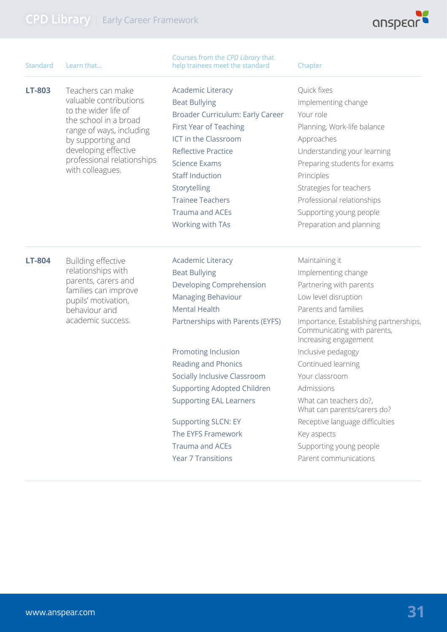

| Standard      | Learn that                                                      | Courses from the CPD Library that<br>help trainees meet the standard | Chapter                                                                                        |
|---------------|-----------------------------------------------------------------|----------------------------------------------------------------------|------------------------------------------------------------------------------------------------|
| LT-803        | Teachers can make                                               | <b>Academic Literacy</b>                                             | Quick fixes                                                                                    |
|               | valuable contributions                                          | <b>Beat Bullying</b>                                                 | Implementing change                                                                            |
|               | to the wider life of<br>the school in a broad                   | Broader Curriculum: Early Career                                     | Your role                                                                                      |
|               | range of ways, including                                        | First Year of Teaching                                               | Planning, Work-life balance                                                                    |
|               | by supporting and                                               | ICT in the Classroom                                                 | Approaches                                                                                     |
|               | developing effective                                            | <b>Reflective Practice</b>                                           | Understanding your learning                                                                    |
|               | professional relationships                                      | <b>Science Exams</b>                                                 | Preparing students for exams                                                                   |
|               | with colleagues.                                                | <b>Staff Induction</b>                                               | Principles                                                                                     |
|               |                                                                 | Storytelling                                                         | Strategies for teachers                                                                        |
|               |                                                                 | <b>Trainee Teachers</b>                                              | Professional relationships                                                                     |
|               |                                                                 | <b>Trauma and ACEs</b>                                               | Supporting young people                                                                        |
|               |                                                                 | Working with TAs                                                     | Preparation and planning                                                                       |
| <b>LT-804</b> | Building effective<br>relationships with<br>parents, carers and | <b>Academic Literacy</b>                                             | Maintaining it                                                                                 |
|               |                                                                 | <b>Beat Bullying</b>                                                 | Implementing change                                                                            |
|               |                                                                 | Developing Comprehension                                             | Partnering with parents                                                                        |
|               | families can improve<br>pupils' motivation,                     | <b>Managing Behaviour</b>                                            | Low level disruption                                                                           |
|               | behaviour and<br>academic success.                              | <b>Mental Health</b>                                                 | Parents and families                                                                           |
|               |                                                                 | Partnerships with Parents (EYFS)                                     | Importance, Establishing partnerships,<br>Communicating with parents,<br>Increasing engagement |
|               |                                                                 | Promoting Inclusion                                                  | Inclusive pedagogy                                                                             |
|               |                                                                 | Reading and Phonics                                                  | Continued learning                                                                             |
|               |                                                                 | Socially Inclusive Classroom                                         | Your classroom                                                                                 |
|               |                                                                 | <b>Supporting Adopted Children</b>                                   | Admissions                                                                                     |
|               |                                                                 | <b>Supporting EAL Learners</b>                                       | What can teachers do?,<br>What can parents/carers do?                                          |
|               |                                                                 | <b>Supporting SLCN: EY</b>                                           | Receptive language difficulties                                                                |
|               |                                                                 | The EYFS Framework                                                   | Key aspects                                                                                    |
|               |                                                                 | <b>Trauma and ACEs</b>                                               | Supporting young people                                                                        |
|               |                                                                 | <b>Year 7 Transitions</b>                                            | Parent communications                                                                          |
|               |                                                                 |                                                                      |                                                                                                |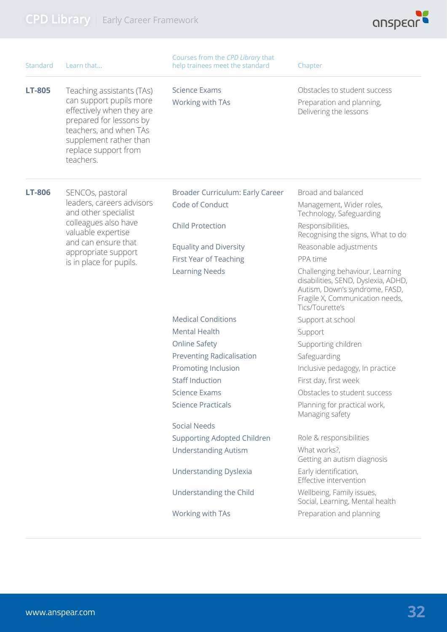

| Standard      | Learn that                                                                                                                                                                                            | Courses from the CPD Library that<br>help trainees meet the standard | Chapter                                                                                                                                                        |
|---------------|-------------------------------------------------------------------------------------------------------------------------------------------------------------------------------------------------------|----------------------------------------------------------------------|----------------------------------------------------------------------------------------------------------------------------------------------------------------|
| <b>LT-805</b> | Teaching assistants (TAs)<br>can support pupils more<br>effectively when they are<br>prepared for lessons by<br>teachers, and when TAs<br>supplement rather than<br>replace support from<br>teachers. | <b>Science Exams</b>                                                 | Obstacles to student success                                                                                                                                   |
|               |                                                                                                                                                                                                       | Working with TAs                                                     | Preparation and planning,<br>Delivering the lessons                                                                                                            |
| <b>LT-806</b> | SENCOs, pastoral                                                                                                                                                                                      | Broader Curriculum: Early Career                                     | Broad and balanced                                                                                                                                             |
|               | leaders, careers advisors<br>and other specialist                                                                                                                                                     | Code of Conduct                                                      | Management, Wider roles,<br>Technology, Safeguarding                                                                                                           |
|               | colleagues also have<br>valuable expertise                                                                                                                                                            | <b>Child Protection</b>                                              | Responsibilities,<br>Recognising the signs, What to do                                                                                                         |
|               | and can ensure that<br>appropriate support                                                                                                                                                            | <b>Equality and Diversity</b>                                        | Reasonable adjustments                                                                                                                                         |
|               | is in place for pupils.                                                                                                                                                                               | <b>First Year of Teaching</b>                                        | PPA time                                                                                                                                                       |
|               |                                                                                                                                                                                                       | <b>Learning Needs</b>                                                | Challenging behaviour, Learning<br>disabilities, SEND, Dyslexia, ADHD,<br>Autism, Down's syndrome, FASD,<br>Fragile X, Communication needs,<br>Tics/Tourette's |
|               |                                                                                                                                                                                                       | <b>Medical Conditions</b>                                            | Support at school                                                                                                                                              |
|               |                                                                                                                                                                                                       | <b>Mental Health</b>                                                 | Support                                                                                                                                                        |
|               |                                                                                                                                                                                                       | <b>Online Safety</b>                                                 | Supporting children                                                                                                                                            |
|               |                                                                                                                                                                                                       | <b>Preventing Radicalisation</b>                                     | Safeguarding                                                                                                                                                   |
|               |                                                                                                                                                                                                       | Promoting Inclusion                                                  | Inclusive pedagogy, In practice                                                                                                                                |
|               |                                                                                                                                                                                                       | <b>Staff Induction</b>                                               | First day, first week                                                                                                                                          |
|               |                                                                                                                                                                                                       | <b>Science Exams</b>                                                 | Obstacles to student success                                                                                                                                   |
|               |                                                                                                                                                                                                       | <b>Science Practicals</b>                                            | Planning for practical work,<br>Managing safety                                                                                                                |
|               |                                                                                                                                                                                                       | <b>Social Needs</b>                                                  |                                                                                                                                                                |
|               |                                                                                                                                                                                                       | <b>Supporting Adopted Children</b>                                   | Role & responsibilities                                                                                                                                        |
|               |                                                                                                                                                                                                       | <b>Understanding Autism</b>                                          | What works?,<br>Getting an autism diagnosis                                                                                                                    |
|               |                                                                                                                                                                                                       | <b>Understanding Dyslexia</b>                                        | Early identification,<br>Effective intervention                                                                                                                |
|               |                                                                                                                                                                                                       | Understanding the Child                                              | Wellbeing, Family issues,<br>Social, Learning, Mental health                                                                                                   |
|               |                                                                                                                                                                                                       | Working with TAs                                                     | Preparation and planning                                                                                                                                       |